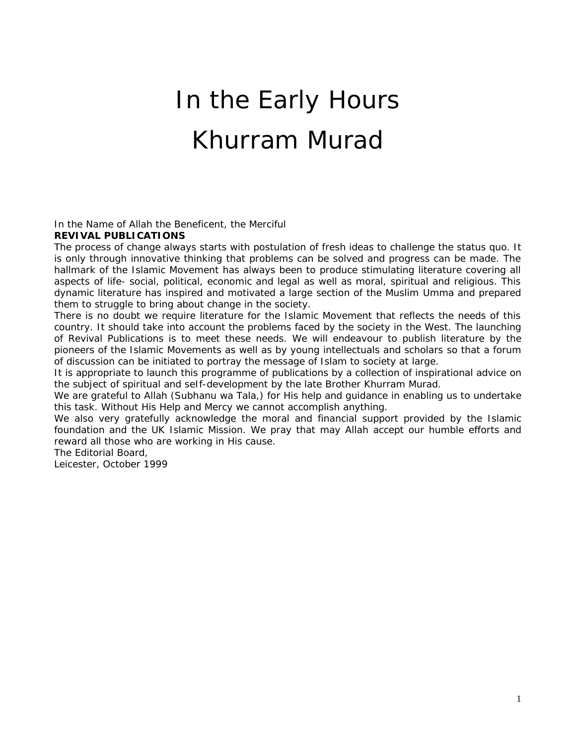# In the Early Hours Khurram Murad

In the Name of Allah the Beneficent, the Merciful **REVIVAL PUBLICATIONS**

The process of change always starts with postulation of fresh ideas to challenge the status quo. It is only through innovative thinking that problems can be solved and progress can be made. The hallmark of the Islamic Movement has always been to produce stimulating literature covering all aspects of life- social, political, economic and legal as well as moral, spiritual and religious. This dynamic literature has inspired and motivated a large section of the Muslim *Umma* and prepared them to struggle to bring about change in the society.

There is no doubt we require literature for the Islamic Movement that reflects the needs of this country. It should take into account the problems faced by the society in the West. The launching of Revival Publications is to meet these needs. We will endeavour to publish literature by the pioneers of the Islamic Movements as well as by young intellectuals and scholars so that a forum of discussion can be initiated to portray the message of Islam to society at large.

It is appropriate to launch this programme of publications by a collection of inspirational advice on the subject of spiritual and seIf-development by the late Brother Khurram Murad.

We are grateful to Allah (*Subhanu wa Tala*,) for His help and guidance in enabling us to undertake this task. Without His Help and Mercy we cannot accomplish anything.

We also very gratefully acknowledge the moral and financial support provided by the Islamic foundation and the UK Islamic Mission. We pray that may Allah accept our humble efforts and reward all those who are working in His cause.

The Editorial Board,

Leicester, October 1999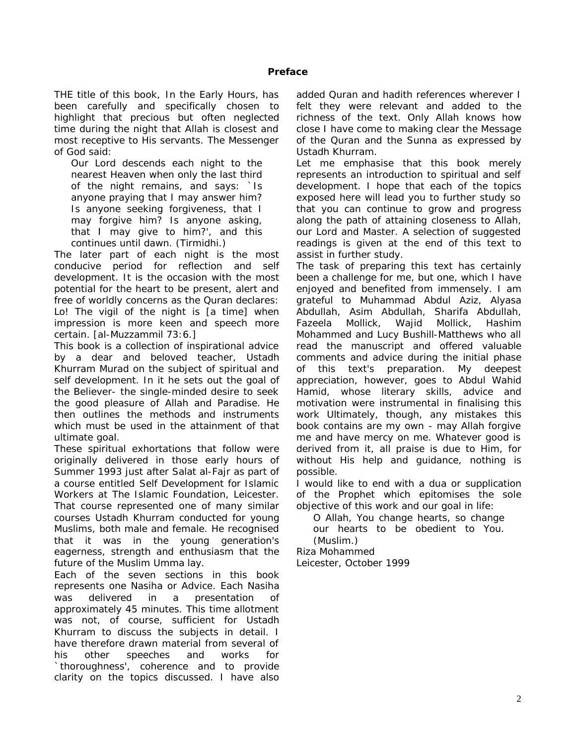THE title of this book, *In the Early Hours*, has been carefully and specifically chosen to highlight that precious but often neglected time during the night that Allah is closest and most receptive to His servants. The Messenger of God said:

Our Lord descends each night to the nearest Heaven when only the last third of the night remains, and says: `Is anyone praying that I may answer him? Is anyone seeking forgiveness, that I may forgive him? Is anyone asking, that I may give to him?', and this continues until dawn. (*Tirmidhi*.)

The later part of each night is the most conducive period for reflection and self development. It is the occasion with the most potential for the heart to be present, alert and free of worldly concerns as the Quran declares: *Lo! The vigil of the night is [a time] when impression is more keen and speech more certain.* [al-Muzzammil 73:6.]

This book is a collection of inspirational advice by a dear and beloved teacher, *Ustadh* Khurram Murad on the subject of spiritual and self development. In it he sets out the goal of the Believer- the single-minded desire to seek the good pleasure of Allah and Paradise. He then outlines the methods and instruments which must be used in the attainment of that ultimate goal.

These spiritual exhortations that follow were originally delivered in those early hours of Summer 1993 just after *Salat al-Fajr* as part of a course entitled *Self Development for Islamic Workers* at The Islamic Foundation, Leicester. That course represented one of many similar courses *Ustadh* Khurram conducted for young Muslims, both male and female. He recognised that it was in the young generation's eagerness, strength and enthusiasm that the future of the Muslim *Umma* lay.

Each of the seven sections in this book represents one *Nasiha* or Advice. Each *Nasiha* was delivered in a presentation of approximately 45 minutes. This time allotment was not, of course, sufficient for *Ustadh* Khurram to discuss the subjects in detail. I have therefore drawn material from several of his other speeches and works for `thoroughness', coherence and to provide clarity on the topics discussed. I have also

added Quran and hadith references wherever I felt they were relevant and added to the richness of the text. Only Allah knows how close I have come to making clear the Message of the Quran and the *Sunna* as expressed by *Ustadh* Khurram.

Let me emphasise that this book merely represents an introduction to spiritual and self development. I hope that each of the topics exposed here will lead you to further study so that you can continue to grow and progress along the path of attaining closeness to Allah, our Lord and Master. A selection of suggested readings is given at the end of this text to assist in further study.

The task of preparing this text has certainly been a challenge for me, but one, which I have enjoyed and benefited from immensely. I am grateful to Muhammad Abdul Aziz, Alyasa Abdullah, Asim Abdullah, Sharifa Abdullah, Fazeela Mollick, Wajid Mollick, Hashim Mohammed and Lucy Bushill-Matthews who all read the manuscript and offered valuable comments and advice during the initial phase of this text's preparation. My deepest appreciation, however, goes to Abdul Wahid Hamid, whose literary skills, advice and motivation were instrumental in finalising this work Ultimately, though, any mistakes this book contains are my own - may Allah forgive me and have mercy on me. Whatever good is derived from it, all praise is due to Him, for without His help and guidance, nothing is possible.

I would like to end with a *dua* or supplication of the Prophet which epitomises the sole objective of this work and our goal in life:

O Allah, You change hearts, so change our hearts to be obedient to You. (*Muslim*.)

Riza Mohammed Leicester, October 1999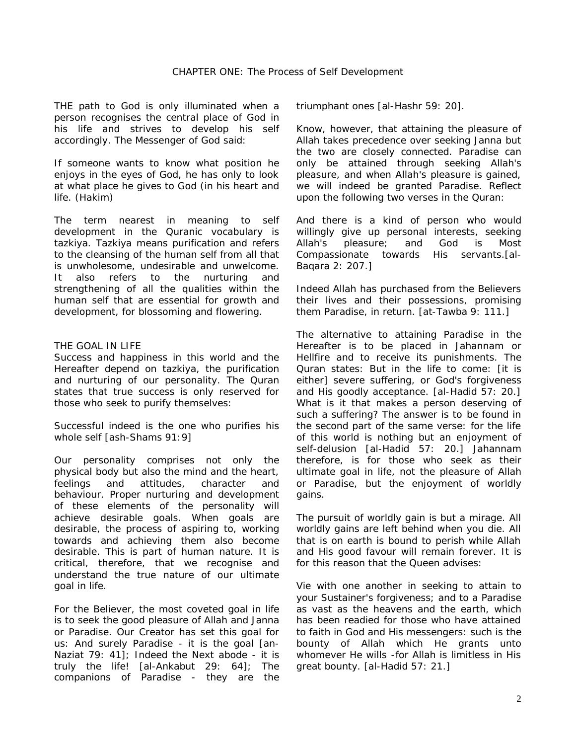THE path to God is only illuminated when a person recognises the central place of God in his life and strives to develop his self accordingly. The Messenger of God said:

If someone wants to know what position he enjoys in the eyes of God, he has only to look at what place he gives to God (in his heart and life. (Hakim)

The term nearest in meaning to self development in the Quranic vocabulary is tazkiya. Tazkiya means purification and refers to the cleansing of the human self from all that is unwholesome, undesirable and unwelcome. It also refers to the nurturing and strengthening of all the qualities within the human self that are essential for growth and development, for blossoming and flowering.

# THE GOAL IN LIFE

Success and happiness in this world and the Hereafter depend on tazkiya, the purification and nurturing of our personality. The Quran states that true success is only reserved for those who seek to purify themselves:

Successful indeed is the one who purifies his whole self [ash-Shams 91:9]

Our personality comprises not only the physical body but also the mind and the heart, feelings and attitudes, character and behaviour. Proper nurturing and development of these elements of the personality will achieve desirable goals. When goals are desirable, the process of aspiring to, working towards and achieving them also become desirable. This is part of human nature. It is critical, therefore, that we recognise and understand the true nature of our ultimate goal in life.

For the Believer, the most coveted goal in life is to seek the good pleasure of Allah and Janna or Paradise. Our Creator has set this goal for us: And surely Paradise - it is the goal [an-Naziat 79: 41]; Indeed the Next abode - it is truly the life! [al-Ankabut 29: 64]; The companions of Paradise - they are the

triumphant ones [al-Hashr 59: 20].

Know, however, that attaining the pleasure of Allah takes precedence over seeking Janna but the two are closely connected. Paradise can only be attained through seeking Allah's pleasure, and when Allah's pleasure is gained, we will indeed be granted Paradise. Reflect upon the following two verses in the Quran:

And there is a kind of person who would willingly give up personal interests, seeking Allah's pleasure; and God is Most Compassionate towards His servants.[al-Baqara 2: 207.]

Indeed Allah has purchased from the Believers their lives and their possessions, promising them Paradise, in return. [at-Tawba 9: 111.]

The alternative to attaining Paradise in the Hereafter is to be placed in Jahannam or Hellfire and to receive its punishments. The Quran states: But in the life to come: [it is either] severe suffering, or God's forgiveness and His goodly acceptance. [al-Hadid 57: 20.] What is it that makes a person deserving of such a suffering? The answer is to be found in the second part of the same verse: for the life of this world is nothing but an enjoyment of self-delusion [al-Hadid 57: 20.] Jahannam therefore, is for those who seek as their ultimate goal in life, not the pleasure of Allah or Paradise, but the enjoyment of worldly gains.

The pursuit of worldly gain is but a mirage. All worldly gains are left behind when you die. All that is on earth is bound to perish while Allah and His good favour will remain forever. It is for this reason that the Queen advises:

Vie with one another in seeking to attain to your Sustainer's forgiveness; and to a Paradise as vast as the heavens and the earth, which has been readied for those who have attained to faith in God and His messengers: such is the bounty of Allah which He grants unto whomever He wills -for Allah is limitless in His great bounty. [al-Hadid 57: 21.]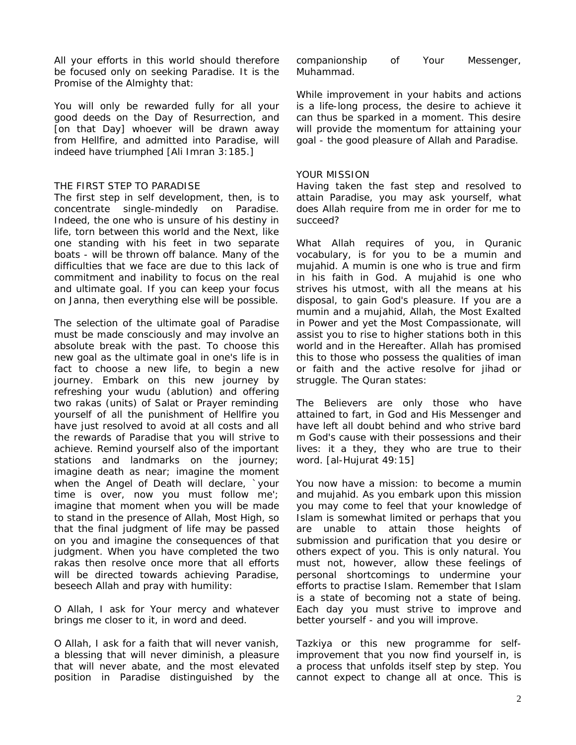All your efforts in this world should therefore be focused only on seeking Paradise. It is the Promise of the Almighty that:

You will only be rewarded fully for all your good deeds on the Day of Resurrection, and [on that Day] whoever will be drawn away from Hellfire, and admitted into Paradise, will indeed have triumphed [Ali Imran 3:185.]

# THE FIRST STEP TO PARADISE

The first step in self development, then, is to concentrate single-mindedly on Paradise. Indeed, the one who is unsure of his destiny in life, torn between this world and the Next, like one standing with his feet in two separate boats - will be thrown off balance. Many of the difficulties that we face are due to this lack of commitment and inability to focus on the real and ultimate goal. If you can keep your focus on Janna, then everything else will be possible.

The selection of the ultimate goal of Paradise must be made consciously and may involve an absolute break with the past. To choose this new goal as the ultimate goal in one's life is in fact to choose a new life, to begin a new journey. Embark on this new journey by refreshing your wudu (ablution) and offering two rakas (units) of Salat or Prayer reminding yourself of all the punishment of Hellfire you have just resolved to avoid at all costs and all the rewards of Paradise that you will strive to achieve. Remind yourself also of the important stations and landmarks on the journey; imagine death as near; imagine the moment when the Angel of Death will declare, `your time is over, now you must follow me'; imagine that moment when you will be made to stand in the presence of Allah, Most High, so that the final judgment of life may be passed on you and imagine the consequences of that judgment. When you have completed the two rakas then resolve once more that all efforts will be directed towards achieving Paradise, beseech Allah and pray with humility:

O Allah, I ask for Your mercy and whatever brings me closer to it, in word and deed.

O Allah, I ask for a faith that will never vanish, a blessing that will never diminish, a pleasure that will never abate, and the most elevated position in Paradise distinguished by the

companionship of Your Messenger, Muhammad.

While improvement in your habits and actions is a life-long process, the desire to achieve it can thus be sparked in a moment. This desire will provide the momentum for attaining your goal - the good pleasure of Allah and Paradise.

# YOUR MISSION

Having taken the fast step and resolved to attain Paradise, you may ask yourself, what does Allah require from me in order for me to succeed?

What Allah requires of you, in Quranic vocabulary, is for you to be a mumin and mujahid. A mumin is one who is true and firm in his faith in God. A mujahid is one who strives his utmost, with all the means at his disposal, to gain God's pleasure. If you are a mumin and a mujahid, Allah, the Most Exalted in Power and yet the Most Compassionate, will assist you to rise to higher stations both in this world and in the Hereafter. Allah has promised this to those who possess the qualities of iman or faith and the active resolve for jihad or struggle. The Quran states:

The Believers are only those who have attained to fart, in God and His Messenger and have left all doubt behind and who strive bard m God's cause with their possessions and their lives: it a they, they who are true to their word. [al-Hujurat 49:15]

You now have a mission: to become a mumin and mujahid. As you embark upon this mission you may come to feel that your knowledge of Islam is somewhat limited or perhaps that you are unable to attain those heights of submission and purification that you desire or others expect of you. This is only natural. You must not, however, allow these feelings of personal shortcomings to undermine your efforts to practise Islam. Remember that Islam is a state of becoming not a state of being. Each day you must strive to improve and better yourself - and you will improve.

Tazkiya or this new programme for selfimprovement that you now find yourself in, is a process that unfolds itself step by step. You cannot expect to change all at once. This is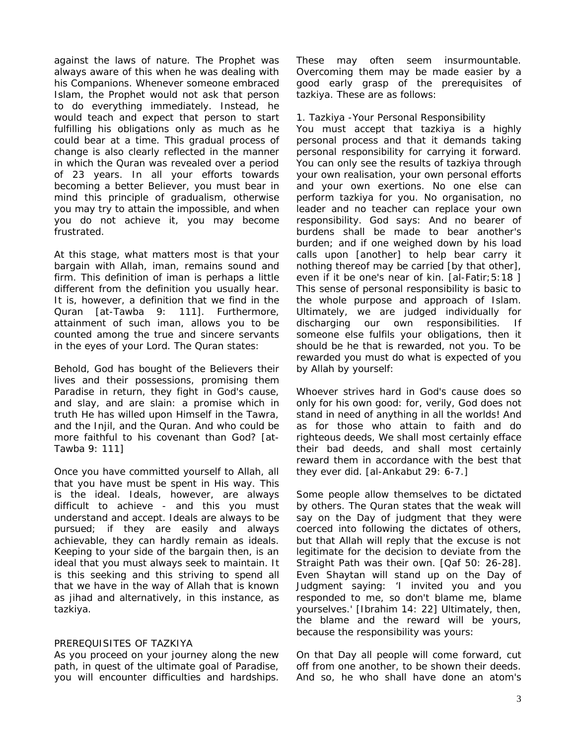against the laws of nature. The Prophet was always aware of this when he was dealing with his Companions. Whenever someone embraced Islam, the Prophet would not ask that person to do everything immediately. Instead, he would teach and expect that person to start fulfilling his obligations only as much as he could bear at a time. This gradual process of change is also clearly reflected in the manner in which the Quran was revealed over a period of 23 years. In all your efforts towards becoming a better Believer, you must bear in mind this principle of gradualism, otherwise you may try to attain the impossible, and when you do not achieve it, you may become frustrated.

At this stage, what matters most is that your bargain with Allah, iman, remains sound and firm. This definition of iman is perhaps a little different from the definition you usually hear. It is, however, a definition that we find in the Quran [at-Tawba 9: 111]. Furthermore, attainment of such iman, allows you to be counted among the true and sincere servants in the eyes of your Lord. The Quran states:

Behold, God has bought of the Believers their lives and their possessions, promising them Paradise in return, they fight in God's cause, and slay, and are slain: a promise which in truth He has willed upon Himself in the Tawra, and the Injil, and the Quran. And who could be more faithful to his covenant than God? [at-Tawba 9: 111]

Once you have committed yourself to Allah, all that you have must be spent in His way. This is the ideal. Ideals, however, are always difficult to achieve - and this you must understand and accept. Ideals are always to be pursued; if they are easily and always achievable, they can hardly remain as ideals. Keeping to your side of the bargain then, is an ideal that you must always seek to maintain. It is this seeking and this striving to spend all that we have in the way of Allah that is known as jihad and alternatively, in this instance, as tazkiya.

# PREREQUISITES OF TAZKIYA

As you proceed on your journey along the new path, in quest of the ultimate goal of Paradise, you will encounter difficulties and hardships. These may often seem insurmountable. Overcoming them may be made easier by a good early grasp of the prerequisites of tazkiya. These are as follows:

# 1. Tazkiya -Your Personal Responsibility

You must accept that tazkiya is a highly personal process and that it demands taking personal responsibility for carrying it forward. You can only see the results of tazkiya through your own realisation, your own personal efforts and your own exertions. No one else can perform tazkiya for you. No organisation, no leader and no teacher can replace your own responsibility. God says: And no bearer of burdens shall be made to bear another's burden; and if one weighed down by his load calls upon [another] to help bear carry it nothing thereof may be carried [by that other], even if it be one's near of kin. [al-Fatir;5:18 ] This sense of personal responsibility is basic to the whole purpose and approach of Islam. Ultimately, we are judged individually for discharging our own responsibilities. If someone else fulfils your obligations, then it should be he that is rewarded, not you. To be rewarded you must do what is expected of you by Allah by yourself:

Whoever strives hard in God's cause does so only for his own good: for, verily, God does not stand in need of anything in all the worlds! And as for those who attain to faith and do righteous deeds, We shall most certainly efface their bad deeds, and shall most certainly reward them in accordance with the best that they ever did. [al-Ankabut 29: 6-7.]

Some people allow themselves to be dictated by others. The Quran states that the weak will say on the Day of judgment that they were coerced into following the dictates of others, but that Allah will reply that the excuse is not legitimate for the decision to deviate from the Straight Path was their own. [Qaf 50: 26-28]. Even Shaytan will stand up on the Day of Judgment saying: 'I invited you and you responded to me, so don't blame me, blame yourselves.' [Ibrahim 14: 22] Ultimately, then, the blame and the reward will be yours, because the responsibility was yours:

On that Day all people will come forward, cut off from one another, to be shown their deeds. And so, he who shall have done an atom's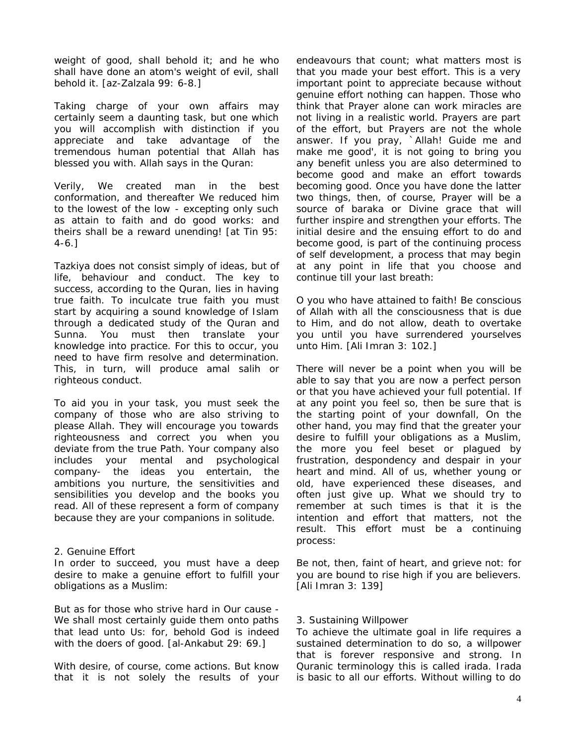weight of good, shall behold it; and he who shall have done an atom's weight of evil, shall behold it. [az-Zalzala 99: 6-8.]

Taking charge of your own affairs may certainly seem a daunting task, but one which you will accomplish with distinction if you appreciate and take advantage of the tremendous human potential that Allah has blessed you with. Allah says in the Quran:

Verily, We created man in the best conformation, and thereafter We reduced him to the lowest of the low - excepting only such as attain to faith and do good works: and theirs shall be a reward unending! [at Tin 95: 4-6.]

Tazkiya does not consist simply of ideas, but of life, behaviour and conduct. The key to success, according to the Quran, lies in having true faith. To inculcate true faith you must start by acquiring a sound knowledge of Islam through a dedicated study of the Quran and Sunna. You must then translate your knowledge into practice. For this to occur, you need to have firm resolve and determination. This, in turn, will produce amal salih or righteous conduct.

To aid you in your task, you must seek the company of those who are also striving to please Allah. They will encourage you towards righteousness and correct you when you deviate from the true Path. Your company also includes your mental and psychological company- the ideas you entertain, the ambitions you nurture, the sensitivities and sensibilities you develop and the books you read. All of these represent a form of company because they are your companions in solitude.

# 2. Genuine Effort

In order to succeed, you must have a deep desire to make a genuine effort to fulfill your obligations as a Muslim:

But as for those who strive hard in Our cause - We shall most certainly guide them onto paths that lead unto Us: for, behold God is indeed with the doers of good. [al-Ankabut 29: 69.]

With desire, of course, come actions. But know that it is not solely the results of your

endeavours that count; what matters most is that you made your best effort. This is a very important point to appreciate because without genuine effort nothing can happen. Those who think that Prayer alone can work miracles are not living in a realistic world. Prayers are part of the effort, but Prayers are not the whole answer. If you pray, `Allah! Guide me and make me good', it is not going to bring you any benefit unless you are also determined to become good and make an effort towards becoming good. Once you have done the latter two things, then, of course, Prayer will be a source of baraka or Divine grace that will further inspire and strengthen your efforts. The initial desire and the ensuing effort to do and become good, is part of the continuing process of self development, a process that may begin at any point in life that you choose and continue till your last breath:

O you who have attained to faith! Be conscious of Allah with all the consciousness that is due to Him, and do not allow, death to overtake you until you have surrendered yourselves unto Him. [Ali Imran 3: 102.]

There will never be a point when you will be able to say that you are now a perfect person or that you have achieved your full potential. If at any point you feel so, then be sure that is the starting point of your downfall, On the other hand, you may find that the greater your desire to fulfill your obligations as a Muslim, the more you feel beset or plagued by frustration, despondency and despair in your heart and mind. All of us, whether young or old, have experienced these diseases, and often just give up. What we should try to remember at such times is that it is the intention and effort that matters, not the result. This effort must be a continuing process:

Be not, then, faint of heart, and grieve not: for you are bound to rise high if you are believers. [Ali Imran 3: 139]

# 3. Sustaining Willpower

To achieve the ultimate goal in life requires a sustained determination to do so, a willpower that is forever responsive and strong. In Quranic terminology this is called irada. Irada is basic to all our efforts. Without willing to do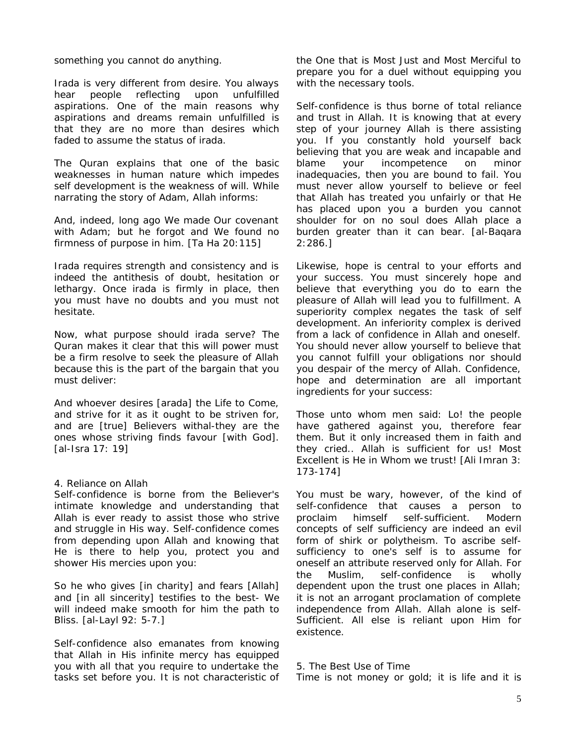something you cannot do anything.

Irada is very different from desire. You always hear people reflecting upon unfulfilled aspirations. One of the main reasons why aspirations and dreams remain unfulfilled is that they are no more than desires which faded to assume the status of irada.

The Quran explains that one of the basic weaknesses in human nature which impedes self development is the weakness of will. While narrating the story of Adam, Allah informs:

And, indeed, long ago We made Our covenant with Adam; but he forgot and We found no firmness of purpose in him. [Ta Ha 20:115]

Irada requires strength and consistency and is indeed the antithesis of doubt, hesitation or lethargy. Once irada is firmly in place, then you must have no doubts and you must not hesitate.

Now, what purpose should irada serve? The Quran makes it clear that this will power must be a firm resolve to seek the pleasure of Allah because this is the part of the bargain that you must deliver:

And whoever desires [arada] the Life to Come, and strive for it as it ought to be striven for, and are [true] Believers withal-they are the ones whose striving finds favour [with God]. [al-Isra 17: 19]

# 4. Reliance on Allah

Self-confidence is borne from the Believer's intimate knowledge and understanding that Allah is ever ready to assist those who strive and struggle in His way. Self-confidence comes from depending upon Allah and knowing that He is there to help you, protect you and shower His mercies upon you:

So he who gives [in charity] and fears [Allah] and [in all sincerity] testifies to the best- We will indeed make smooth for him the path to Bliss. [al-Layl 92: 5-7.]

Self-confidence also emanates from knowing that Allah in His infinite mercy has equipped you with all that you require to undertake the tasks set before you. It is not characteristic of the One that is Most Just and Most Merciful to prepare you for a duel without equipping you with the necessary tools.

Self-confidence is thus borne of total reliance and trust in Allah. It is knowing that at every step of your journey Allah is there assisting you. If you constantly hold yourself back believing that you are weak and incapable and blame your incompetence on minor inadequacies, then you are bound to fail. You must never allow yourself to believe or feel that Allah has treated you unfairly or that He has placed upon you a burden you cannot shoulder for on no soul does Allah place a burden greater than it can bear. [al-Baqara 2:286.]

Likewise, hope is central to your efforts and your success. You must sincerely hope and believe that everything you do to earn the pleasure of Allah will lead you to fulfillment. A superiority complex negates the task of self development. An inferiority complex is derived from a lack of confidence in Allah and oneself. You should never allow yourself to believe that you cannot fulfill your obligations nor should you despair of the mercy of Allah. Confidence, hope and determination are all important ingredients for your success:

Those unto whom men said: Lo! the people have gathered against you, therefore fear them. But it only increased them in faith and they cried.. Allah is sufficient for us! Most Excellent is He in Whom we trust! [Ali Imran 3: 173-174]

You must be wary, however, of the kind of self-confidence that causes a person to proclaim himself self-sufficient. Modern concepts of self sufficiency are indeed an evil form of shirk or polytheism. To ascribe selfsufficiency to one's self is to assume for oneself an attribute reserved only for Allah. For the Muslim, self-confidence is wholly dependent upon the trust one places in Allah; it is not an arrogant proclamation of complete independence from Allah. Allah alone is self-Sufficient. All else is reliant upon Him for existence.

#### 5. The Best Use of Time

Time is not money or gold; it is life and it is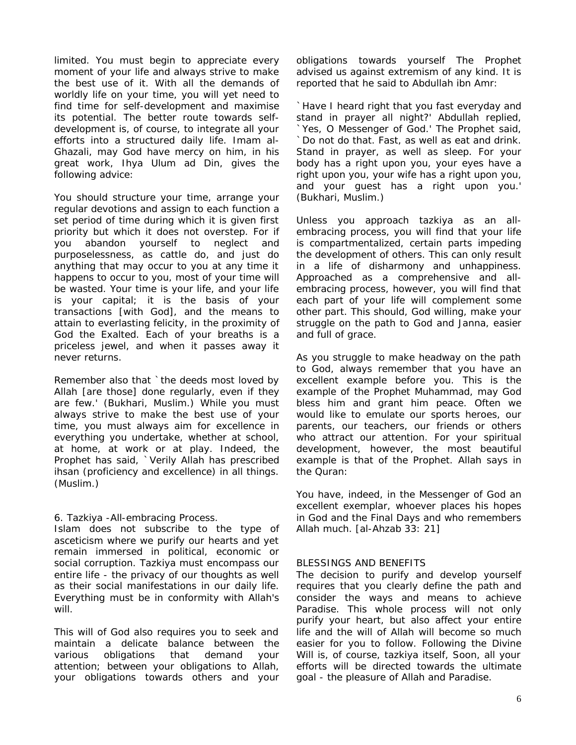limited. You must begin to appreciate every moment of your life and always strive to make the best use of it. With all the demands of worldly life on your time, you will yet need to find time for self-development and maximise its potential. The better route towards selfdevelopment is, of course, to integrate all your efforts into a structured daily life. Imam al-Ghazali, may God have mercy on him, in his great work, Ihya Ulum ad Din, gives the following advice:

You should structure your time, arrange your regular devotions and assign to each function a set period of time during which it is given first priority but which it does not overstep. For if you abandon yourself to neglect and purposelessness, as cattle do, and just do anything that may occur to you at any time it happens to occur to you, most of your time will be wasted. Your time is your life, and your life is your capital; it is the basis of your transactions [with God], and the means to attain to everlasting felicity, in the proximity of God the Exalted. Each of your breaths is a priceless jewel, and when it passes away it never returns.

Remember also that `the deeds most loved by Allah [are those] done regularly, even if they are few.' (Bukhari, Muslim.) While you must always strive to make the best use of your time, you must always aim for excellence in everything you undertake, whether at school, at home, at work or at play. Indeed, the Prophet has said, `Verily Allah has prescribed ihsan (proficiency and excellence) in all things. (Muslim.)

# 6. Tazkiya -All-embracing Process.

Islam does not subscribe to the type of asceticism where we purify our hearts and yet remain immersed in political, economic or social corruption. Tazkiya must encompass our entire life - the privacy of our thoughts as well as their social manifestations in our daily life. Everything must be in conformity with Allah's will.

This will of God also requires you to seek and maintain a delicate balance between the various obligations that demand your attention; between your obligations to Allah, your obligations towards others and your

obligations towards yourself The Prophet advised us against extremism of any kind. It is reported that he said to Abdullah ibn Amr:

`Have I heard right that you fast everyday and stand in prayer all night?' Abdullah replied, `Yes, O Messenger of God.' The Prophet said, `Do not do that. Fast, as well as eat and drink. Stand in prayer, as well as sleep. For your body has a right upon you, your eyes have a right upon you, your wife has a right upon you, and your guest has a right upon you.' (Bukhari, Muslim.)

Unless you approach tazkiya as an allembracing process, you will find that your life is compartmentalized, certain parts impeding the development of others. This can only result in a life of disharmony and unhappiness. Approached as a comprehensive and allembracing process, however, you will find that each part of your life will complement some other part. This should, God willing, make your struggle on the path to God and Janna, easier and full of grace.

As you struggle to make headway on the path to God, always remember that you have an excellent example before you. This is the example of the Prophet Muhammad, may God bless him and grant him peace. Often we would like to emulate our sports heroes, our parents, our teachers, our friends or others who attract our attention. For your spiritual development, however, the most beautiful example is that of the Prophet. Allah says in the Quran:

You have, indeed, in the Messenger of God an excellent exemplar, whoever places his hopes in God and the Final Days and who remembers Allah much. [al-Ahzab 33: 21]

# BLESSINGS AND BENEFITS

The decision to purify and develop yourself requires that you clearly define the path and consider the ways and means to achieve Paradise. This whole process will not only purify your heart, but also affect your entire life and the will of Allah will become so much easier for you to follow. Following the Divine Will is, of course, tazkiya itself, Soon, all your efforts will be directed towards the ultimate goal - the pleasure of Allah and Paradise.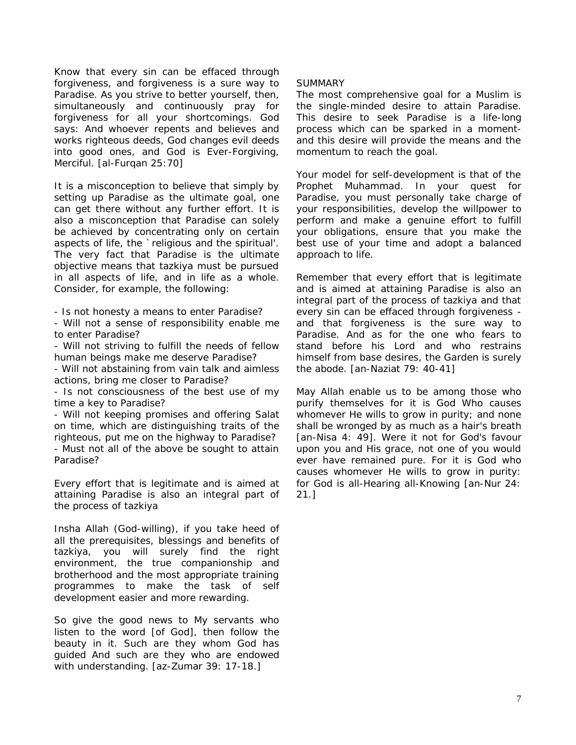Know that every sin can be effaced through forgiveness, and forgiveness is a sure way to Paradise. As you strive to better yourself, then, simultaneously and continuously pray for forgiveness for all your shortcomings. God says: And whoever repents and believes and works righteous deeds, God changes evil deeds into good ones, and God is Ever-Forgiving, Merciful. [al-Furqan 25:70]

It is a misconception to believe that simply by setting up Paradise as the ultimate goal, one can get there without any further effort. It is also a misconception that Paradise can solely be achieved by concentrating only on certain aspects of life, the `religious and the spiritual'. The very fact that Paradise is the ultimate objective means that tazkiya must be pursued in all aspects of life, and in life as a whole. Consider, for example, the following:

- Is not honesty a means to enter Paradise?

- Will not a sense of responsibility enable me to enter Paradise?

- Will not striving to fulfill the needs of fellow human beings make me deserve Paradise?

- Will not abstaining from vain talk and aimless actions, bring me closer to Paradise?

- Is not consciousness of the best use of my time a key to Paradise?

- Will not keeping promises and offering Salat on time, which are distinguishing traits of the righteous, put me on the highway to Paradise? - Must not all of the above be sought to attain Paradise?

Every effort that is legitimate and is aimed at attaining Paradise is also an integral part of the process of tazkiya

Insha Allah (God-willing), if you take heed of all the prerequisites, blessings and benefits of tazkiya, you will surely find the right environment, the true companionship and brotherhood and the most appropriate training programmes to make the task of self development easier and more rewarding.

So give the good news to My servants who listen to the word [of God], then follow the beauty in it. Such are they whom God has guided And such are they who are endowed with understanding. [az-Zumar 39: 17-18.]

#### SUMMARY

The most comprehensive goal for a Muslim is the single-minded desire to attain Paradise. This desire to seek Paradise is a life-long process which can be sparked in a momentand this desire will provide the means and the momentum to reach the goal.

Your model for self-development is that of the Prophet Muhammad. In your quest for Paradise, you must personally take charge of your responsibilities, develop the willpower to perform and make a genuine effort to fulfill your obligations, ensure that you make the best use of your time and adopt a balanced approach to life.

Remember that every effort that is legitimate and is aimed at attaining Paradise is also an integral part of the process of tazkiya and that every sin can be effaced through forgiveness and that forgiveness is the sure way to Paradise. And as for the one who fears to stand before his Lord and who restrains himself from base desires, the Garden is surely the abode. [an-Naziat 79: 40-41]

May Allah enable us to be among those who purify themselves for it is God Who causes whomever He wills to grow in purity; and none shall be wronged by as much as a hair's breath [an-Nisa 4: 49]. Were it not for God's favour upon you and His grace, not one of you would ever have remained pure. For it is God who causes whomever He wills to grow in purity: for God is all-Hearing all-Knowing [an-Nur 24: 21.]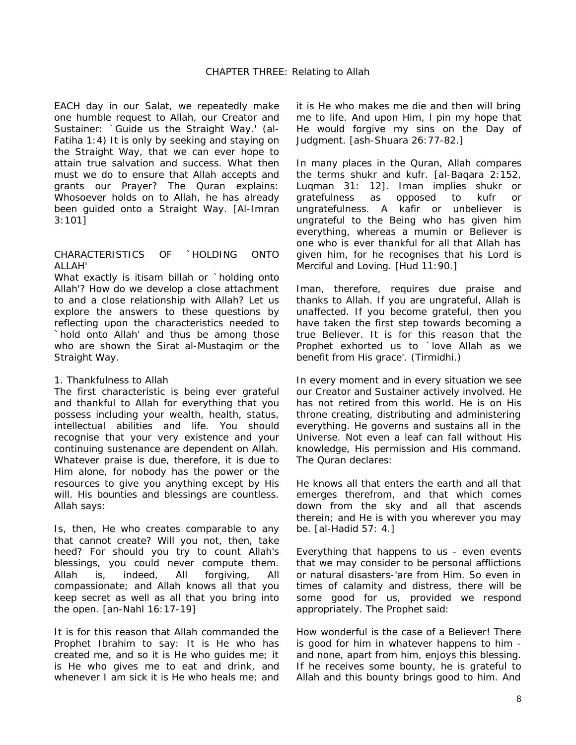#### CHAPTER THREE: Relating to Allah

EACH day in our Salat, we repeatedly make one humble request to Allah, our Creator and Sustainer: `Guide us the Straight Way.' (al-Fatiha 1:4) It is only by seeking and staying on the Straight Way, that we can ever hope to attain true salvation and success. What then must we do to ensure that Allah accepts and grants our Prayer? The Quran explains: Whosoever holds on to Allah, he has already been guided onto a Straight Way. [Al-Imran 3:101]

#### CHARACTERISTICS OF `HOLDING ONTO ALLAH'

What exactly is itisam billah or `holding onto Allah'? How do we develop a close attachment to and a close relationship with Allah? Let us explore the answers to these questions by reflecting upon the characteristics needed to `hold onto Allah' and thus be among those who are shown the Sirat al-Mustaqim or the Straight Way.

#### 1. Thankfulness to Allah

The first characteristic is being ever grateful and thankful to Allah for everything that you possess including your wealth, health, status, intellectual abilities and life. You should recognise that your very existence and your continuing sustenance are dependent on Allah. Whatever praise is due, therefore, it is due to Him alone, for nobody has the power or the resources to give you anything except by His will. His bounties and blessings are countless. Allah says:

Is, then, He who creates comparable to any that cannot create? Will you not, then, take heed? For should you try to count Allah's blessings, you could never compute them. Allah is, indeed, All forgiving, All compassionate; and Allah knows all that you keep secret as well as all that you bring into the open. [an-Nahl 16:17-19]

It is for this reason that Allah commanded the Prophet Ibrahim to say: It is He who has created me, and so it is He who guides me; it is He who gives me to eat and drink, and whenever I am sick it is He who heals me; and

it is He who makes me die and then will bring me to life. And upon Him, l pin my hope that He would forgive my sins on the Day of Judgment. [ash-Shuara 26:77-82.]

In many places in the Quran, Allah compares the terms shukr and kufr. [al-Baqara 2:152, Luqman 31: 12]. Iman implies shukr or gratefulness as opposed to kufr or ungratefulness. A kafir or unbeliever is ungrateful to the Being who has given him everything, whereas a mumin or Believer is one who is ever thankful for all that Allah has given him, for he recognises that his Lord is Merciful and Loving. [Hud 11:90.]

Iman, therefore, requires due praise and thanks to Allah. If you are ungrateful, Allah is unaffected. If you become grateful, then you have taken the first step towards becoming a true Believer. It is for this reason that the Prophet exhorted us to `love Allah as we benefit from His grace'. (Tirmidhi.)

In every moment and in every situation we see our Creator and Sustainer actively involved. He has not retired from this world. He is on His throne creating, distributing and administering everything. He governs and sustains all in the Universe. Not even a leaf can fall without His knowledge, His permission and His command. The Quran declares:

He knows all that enters the earth and all that emerges therefrom, and that which comes down from the sky and all that ascends therein; and He is with you wherever you may be. [al-Hadid 57: 4.]

Everything that happens to us - even events that we may consider to be personal afflictions or natural disasters-'are from Him. So even in times of calamity and distress, there will be some good for us, provided we respond appropriately. The Prophet said:

How wonderful is the case of a Believer! There is good for him in whatever happens to him and none, apart from him, enjoys this blessing. If he receives some bounty, he is grateful to Allah and this bounty brings good to him. And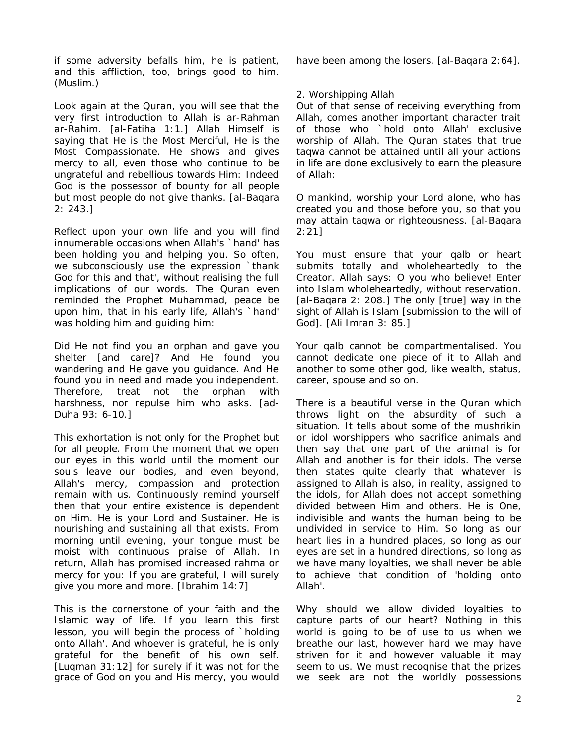if some adversity befalls him, he is patient, and this affliction, too, brings good to him. (Muslim.)

Look again at the Quran, you will see that the very first introduction to Allah is ar-Rahman ar-Rahim. [al-Fatiha 1:1.] Allah Himself is saying that He is the Most Merciful, He is the Most Compassionate. He shows and gives mercy to all, even those who continue to be ungrateful and rebellious towards Him: Indeed God is the possessor of bounty for all people but most people do not give thanks. [al-Baqara 2: 243.]

Reflect upon your own life and you will find innumerable occasions when Allah's `hand' has been holding you and helping you. So often, we subconsciously use the expression `thank God for this and that', without realising the full implications of our words. The Quran even reminded the Prophet Muhammad, peace be upon him, that in his early life, Allah's `hand' was holding him and guiding him:

Did He not find you an orphan and gave you shelter [and care]? And He found you wandering and He gave you guidance. And He found you in need and made you independent. Therefore, treat not the orphan with harshness, nor repulse him who asks. [ad-Duha 93: 6-10.]

This exhortation is not only for the Prophet but for all people. From the moment that we open our eyes in this world until the moment our souls leave our bodies, and even beyond, Allah's mercy, compassion and protection remain with us. Continuously remind yourself then that your entire existence is dependent on Him. He is your Lord and Sustainer. He is nourishing and sustaining all that exists. From morning until evening, your tongue must be moist with continuous praise of Allah. In return, Allah has promised increased rahma or mercy for you: If you are grateful, I will surely give you more and more. [Ibrahim 14:7]

This is the cornerstone of your faith and the Islamic way of life. If you learn this first lesson, you will begin the process of `holding onto Allah'. And whoever is grateful, he is only grateful for the benefit of his own self. [Luqman 31:12] for surely if it was not for the grace of God on you and His mercy, you would have been among the losers. [al-Baqara 2:64].

# 2. Worshipping Allah

Out of that sense of receiving everything from Allah, comes another important character trait of those who `hold onto Allah' exclusive worship of Allah. The Quran states that true taqwa cannot be attained until all your actions in life are done exclusively to earn the pleasure of Allah:

O mankind, worship your Lord alone, who has created you and those before you, so that you may attain taqwa or righteousness. [al-Baqara 2:21]

You must ensure that your qalb or heart submits totally and wholeheartedly to the Creator. Allah says: O you who believe! Enter into Islam wholeheartedly, without reservation. [al-Baqara 2: 208.] The only [true] way in the sight of Allah is Islam [submission to the will of God]. [Ali Imran 3: 85.]

Your qalb cannot be compartmentalised. You cannot dedicate one piece of it to Allah and another to some other god, like wealth, status, career, spouse and so on.

There is a beautiful verse in the Quran which throws light on the absurdity of such a situation. It tells about some of the mushrikin or idol worshippers who sacrifice animals and then say that one part of the animal is for Allah and another is for their idols. The verse then states quite clearly that whatever is assigned to Allah is also, in reality, assigned to the idols, for Allah does not accept something divided between Him and others. He is One, indivisible and wants the human being to be undivided in service to Him. So long as our heart lies in a hundred places, so long as our eyes are set in a hundred directions, so long as we have many loyalties, we shall never be able to achieve that condition of 'holding onto Allah'.

Why should we allow divided loyalties to capture parts of our heart? Nothing in this world is going to be of use to us when we breathe our last, however hard we may have striven for it and however valuable it may seem to us. We must recognise that the prizes we seek are not the worldly possessions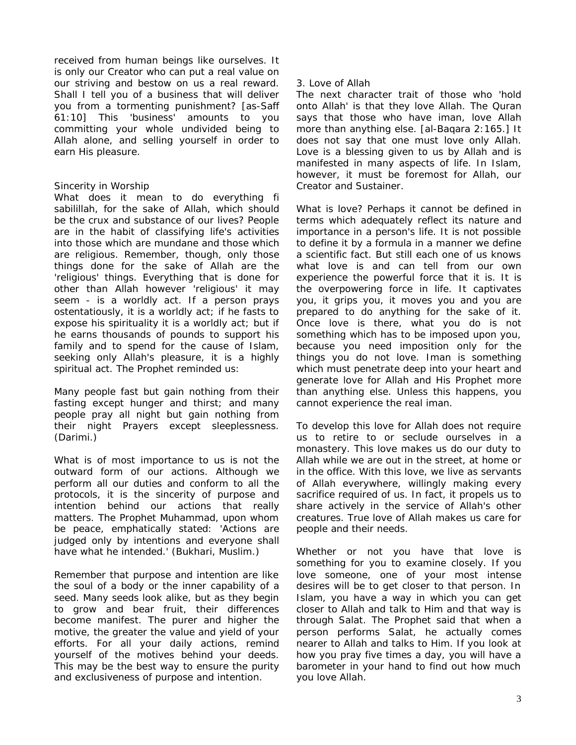received from human beings like ourselves. It is only our Creator who can put a real value on our striving and bestow on us a real reward. Shall I tell you of a business that will deliver you from a tormenting punishment? [as-Saff 61:10] This 'business' amounts to you committing your whole undivided being to Allah alone, and selling yourself in order to earn His pleasure.

# Sincerity in Worship

What does it mean to do everything fi sabilillah, for the sake of Allah, which should be the crux and substance of our lives? People are in the habit of classifying life's activities into those which are mundane and those which are religious. Remember, though, only those things done for the sake of Allah are the 'religious' things. Everything that is done for other than Allah however 'religious' it may seem - is a worldly act. If a person prays ostentatiously, it is a worldly act; if he fasts to expose his spirituality it is a worldly act; but if he earns thousands of pounds to support his family and to spend for the cause of Islam, seeking only Allah's pleasure, it is a highly spiritual act. The Prophet reminded us:

Many people fast but gain nothing from their fasting except hunger and thirst; and many people pray all night but gain nothing from their night Prayers except sleeplessness. (Darimi.)

What is of most importance to us is not the outward form of our actions. Although we perform all our duties and conform to all the protocols, it is the sincerity of purpose and intention behind our actions that really matters. The Prophet Muhammad, upon whom be peace, emphatically stated: 'Actions are judged only by intentions and everyone shall have what he intended.' (Bukhari, Muslim.)

Remember that purpose and intention are like the soul of a body or the inner capability of a seed. Many seeds look alike, but as they begin to grow and bear fruit, their differences become manifest. The purer and higher the motive, the greater the value and yield of your efforts. For all your daily actions, remind yourself of the motives behind your deeds. This may be the best way to ensure the purity and exclusiveness of purpose and intention.

#### 3. Love of Allah

The next character trait of those who 'hold onto Allah' is that they love Allah. The Quran says that those who have iman, love Allah more than anything else. [al-Baqara 2:165.] It does not say that one must love only Allah. Love is a blessing given to us by Allah and is manifested in many aspects of life. In Islam, however, it must be foremost for Allah, our Creator and Sustainer.

What is love? Perhaps it cannot be defined in terms which adequately reflect its nature and importance in a person's life. It is not possible to define it by a formula in a manner we define a scientific fact. But still each one of us knows what love is and can tell from our own experience the powerful force that it is. It is the overpowering force in life. It captivates you, it grips you, it moves you and you are prepared to do anything for the sake of it. Once love is there, what you do is not something which has to be imposed upon you, because you need imposition only for the things you do not love. Iman is something which must penetrate deep into your heart and generate love for Allah and His Prophet more than anything else. Unless this happens, you cannot experience the real iman.

To develop this love for Allah does not require us to retire to or seclude ourselves in a monastery. This love makes us do our duty to Allah while we are out in the street, at home or in the office. With this love, we live as servants of Allah everywhere, willingly making every sacrifice required of us. In fact, it propels us to share actively in the service of Allah's other creatures. True love of Allah makes us care for people and their needs.

Whether or not you have that love is something for you to examine closely. If you love someone, one of your most intense desires will be to get closer to that person. In Islam, you have a way in which you can get closer to Allah and talk to Him and that way is through Salat. The Prophet said that when a person performs Salat, he actually comes nearer to Allah and talks to Him. If you look at how you pray five times a day, you will have a barometer in your hand to find out how much you love Allah.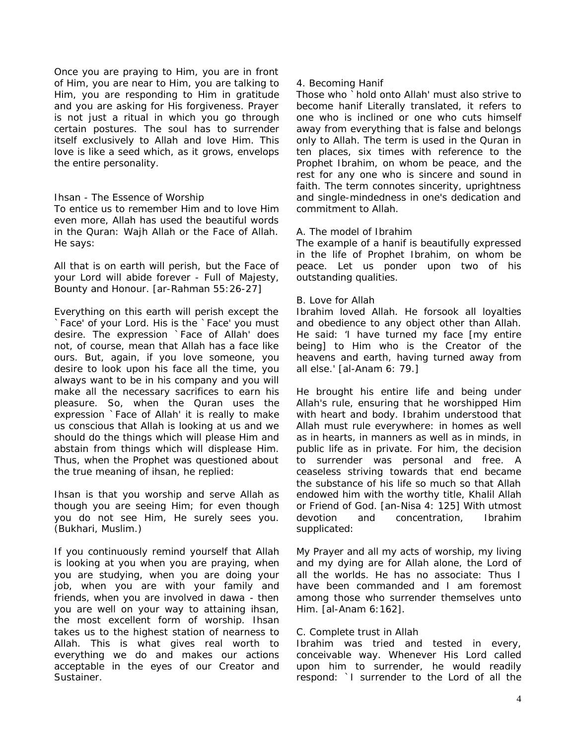Once you are praying to Him, you are in front of Him, you are near to Him, you are talking to Him, you are responding to Him in gratitude and you are asking for His forgiveness. Prayer is not just a ritual in which you go through certain postures. The soul has to surrender itself exclusively to Allah and love Him. This love is like a seed which, as it grows, envelops the entire personality.

#### Ihsan - The Essence of Worship

To entice us to remember Him and to love Him even more, Allah has used the beautiful words in the Quran: Wajh Allah or the Face of Allah. He says:

All that is on earth will perish, but the Face of your Lord will abide forever - Full of Majesty, Bounty and Honour. [ar-Rahman 55:26-27]

Everything on this earth will perish except the `Face' of your Lord. His is the `Face' you must desire. The expression `Face of Allah' does not, of course, mean that Allah has a face like ours. But, again, if you love someone, you desire to look upon his face all the time, you always want to be in his company and you will make all the necessary sacrifices to earn his pleasure. So, when the Quran uses the expression `Face of Allah' it is really to make us conscious that Allah is looking at us and we should do the things which will please Him and abstain from things which will displease Him. Thus, when the Prophet was questioned about the true meaning of ihsan, he replied:

Ihsan is that you worship and serve Allah as though you are seeing Him; for even though you do not see Him, He surely sees you. (Bukhari, Muslim.)

If you continuously remind yourself that Allah is looking at you when you are praying, when you are studying, when you are doing your job, when you are with your family and friends, when you are involved in dawa - then you are well on your way to attaining ihsan, the most excellent form of worship. Ihsan takes us to the highest station of nearness to Allah. This is what gives real worth to everything we do and makes our actions acceptable in the eyes of our Creator and Sustainer.

# 4. Becoming Hanif

Those who `hold onto Allah' must also strive to become hanif Literally translated, it refers to one who is inclined or one who cuts himself away from everything that is false and belongs only to Allah. The term is used in the Quran in ten places, six times with reference to the Prophet Ibrahim, on whom be peace, and the rest for any one who is sincere and sound in faith. The term connotes sincerity, uprightness and single-mindedness in one's dedication and commitment to Allah.

A. The model of Ibrahim

The example of a hanif is beautifully expressed in the life of Prophet Ibrahim, on whom be peace. Let us ponder upon two of his outstanding qualities.

# B. Love for Allah

Ibrahim loved Allah. He forsook all loyalties and obedience to any object other than Allah. He said: 'I have turned my face [my entire being] to Him who is the Creator of the heavens and earth, having turned away from all else.' [al-Anam 6: 79.]

He brought his entire life and being under Allah's rule, ensuring that he worshipped Him with heart and body. Ibrahim understood that Allah must rule everywhere: in homes as well as in hearts, in manners as well as in minds, in public life as in private. For him, the decision to surrender was personal and free. A ceaseless striving towards that end became the substance of his life so much so that Allah endowed him with the worthy title, Khalil Allah or Friend of God. [an-Nisa 4: 125] With utmost devotion and concentration, Ibrahim supplicated:

My Prayer and all my acts of worship, my living and my dying are for Allah alone, the Lord of all the worlds. He has no associate: Thus I have been commanded and I am foremost among those who surrender themselves unto Him. [al-Anam 6:162].

# C. Complete trust in Allah

Ibrahim was tried and tested in every, conceivable way. Whenever His Lord called upon him to surrender, he would readily respond: `I surrender to the Lord of all the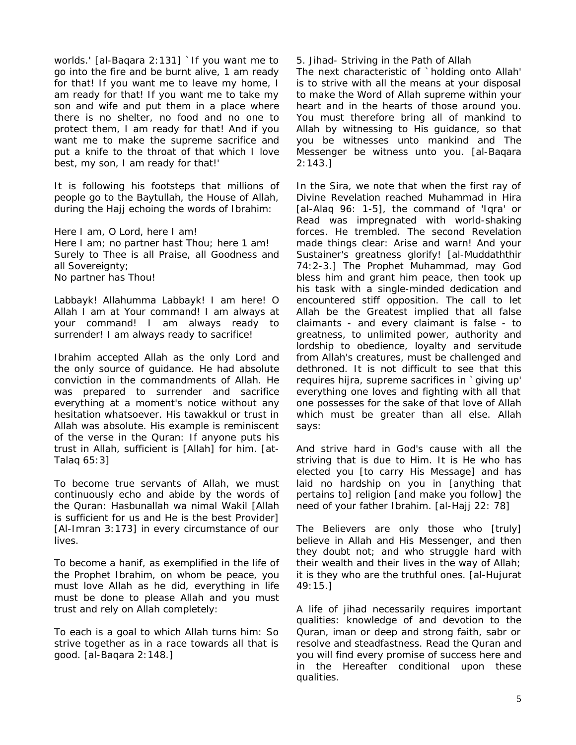worlds.' [al-Baqara 2:131] `If you want me to go into the fire and be burnt alive, 1 am ready for that! If you want me to leave my home, I am ready for that! If you want me to take my son and wife and put them in a place where there is no shelter, no food and no one to protect them, I am ready for that! And if you want me to make the supreme sacrifice and put a knife to the throat of that which I love best, my son, I am ready for that!'

It is following his footsteps that millions of people go to the Baytullah, the House of Allah, during the Hajj echoing the words of Ibrahim:

Here I am, O Lord, here I am! Here I am; no partner hast Thou; here 1 am! Surely to Thee is all Praise, all Goodness and all Sovereignty; No partner has Thou!

Labbayk! Allahumma Labbayk! I am here! O Allah I am at Your command! I am always at your command! I am always ready to surrender! I am always ready to sacrifice!

Ibrahim accepted Allah as the only Lord and the only source of guidance. He had absolute conviction in the commandments of Allah. He was prepared to surrender and sacrifice everything at a moment's notice without any hesitation whatsoever. His tawakkul or trust in Allah was absolute. His example is reminiscent of the verse in the Quran: If anyone puts his trust in Allah, sufficient is [Allah] for him. [at-Talaq 65:3]

To become true servants of Allah, we must continuously echo and abide by the words of the Quran: Hasbunallah wa nimal Wakil [Allah is sufficient for us and He is the best Provider] [Al-Imran 3:173] in every circumstance of our lives.

To become a hanif, as exemplified in the life of the Prophet Ibrahim, on whom be peace, you must love Allah as he did, everything in life must be done to please Allah and you must trust and rely on Allah completely:

To each is a goal to which Allah turns him: So strive together as in a race towards all that is good. [al-Baqara 2:148.]

5. Jihad- Striving in the Path of Allah

The next characteristic of `holding onto Allah' is to strive with all the means at your disposal to make the Word of Allah supreme within your heart and in the hearts of those around you. You must therefore bring all of mankind to Allah by witnessing to His guidance, so that you be witnesses unto mankind and The Messenger be witness unto you. [al-Baqara 2:143.]

In the Sira, we note that when the first ray of Divine Revelation reached Muhammad in Hira [al-Alaq 96: 1-5], the command of 'Igra' or Read was impregnated with world-shaking forces. He trembled. The second Revelation made things clear: Arise and warn! And your Sustainer's greatness glorify! [al-Muddaththir 74:2-3.] The Prophet Muhammad, may God bless him and grant him peace, then took up his task with a single-minded dedication and encountered stiff opposition. The call to let Allah be the Greatest implied that all false claimants - and every claimant is false - to greatness, to unlimited power, authority and lordship to obedience, loyalty and servitude from Allah's creatures, must be challenged and dethroned. It is not difficult to see that this requires hijra, supreme sacrifices in `giving up' everything one loves and fighting with all that one possesses for the sake of that love of Allah which must be greater than all else. Allah says:

And strive hard in God's cause with all the striving that is due to Him. It is He who has elected you [to carry His Message] and has laid no hardship on you in [anything that pertains to] religion [and make you follow] the need of your father Ibrahim. [al-Hajj 22: 78]

The Believers are only those who [truly] believe in Allah and His Messenger, and then they doubt not; and who struggle hard with their wealth and their lives in the way of Allah; it is they who are the truthful ones. [al-Hujurat 49:15.]

A life of jihad necessarily requires important qualities: knowledge of and devotion to the Quran, iman or deep and strong faith, sabr or resolve and steadfastness. Read the Quran and you will find every promise of success here and in the Hereafter conditional upon these qualities.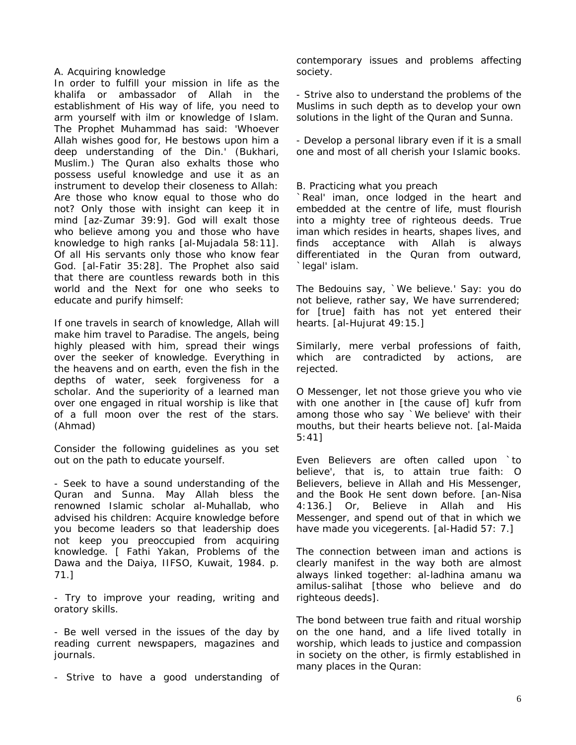#### A. Acquiring knowledge

In order to fulfill your mission in life as the khalifa or ambassador of Allah in the establishment of His way of life, you need to arm yourself with ilm or knowledge of Islam. The Prophet Muhammad has said: 'Whoever Allah wishes good for, He bestows upon him a deep understanding of the Din.' (Bukhari, Muslim.) The Quran also exhalts those who possess useful knowledge and use it as an instrument to develop their closeness to Allah: Are those who know equal to those who do not? Only those with insight can keep it in mind [az-Zumar 39:9]. God will exalt those who believe among you and those who have knowledge to high ranks [al-Mujadala 58:11]. Of all His servants only those who know fear God. [al-Fatir 35:28]. The Prophet also said that there are countless rewards both in this world and the Next for one who seeks to educate and purify himself:

If one travels in search of knowledge, Allah will make him travel to Paradise. The angels, being highly pleased with him, spread their wings over the seeker of knowledge. Everything in the heavens and on earth, even the fish in the depths of water, seek forgiveness for a scholar. And the superiority of a learned man over one engaged in ritual worship is like that of a full moon over the rest of the stars. (Ahmad)

Consider the following guidelines as you set out on the path to educate yourself.

- Seek to have a sound understanding of the Quran and Sunna. May Allah bless the renowned Islamic scholar al-Muhallab, who advised his children: Acquire knowledge before you become leaders so that leadership does not keep you preoccupied from acquiring knowledge. [ Fathi Yakan, Problems of the Dawa and the Daiya, IIFSO, Kuwait, 1984. p. 71.]

- Try to improve your reading, writing and oratory skills.

- Be well versed in the issues of the day by reading current newspapers, magazines and journals.

- Strive to have a good understanding of

contemporary issues and problems affecting society.

- Strive also to understand the problems of the Muslims in such depth as to develop your own solutions in the light of the Quran and Sunna.

- Develop a personal library even if it is a small one and most of all cherish your Islamic books.

# B. Practicing what you preach

`Real' iman, once lodged in the heart and embedded at the centre of life, must flourish into a mighty tree of righteous deeds. True iman which resides in hearts, shapes lives, and finds acceptance with Allah is always differentiated in the Quran from outward, `legal' islam.

The Bedouins say, `We believe.' Say: you do not believe, rather say, We have surrendered; for [true] faith has not yet entered their hearts. [al-Hujurat 49:15.]

Similarly, mere verbal professions of faith, which are contradicted by actions, are rejected.

O Messenger, let not those grieve you who vie with one another in [the cause of] kufr from among those who say `We believe' with their mouths, but their hearts believe not. [al-Maida 5:41]

Even Believers are often called upon `to believe', that is, to attain true faith: O Believers, believe in Allah and His Messenger, and the Book He sent down before. [an-Nisa 4:136.] Or, Believe in Allah and His Messenger, and spend out of that in which we have made you vicegerents. [al-Hadid 57: 7.]

The connection between iman and actions is clearly manifest in the way both are almost always linked together: al-ladhina amanu wa amilus-salihat [those who believe and do righteous deeds].

The bond between true faith and ritual worship on the one hand, and a life lived totally in worship, which leads to justice and compassion in society on the other, is firmly established in many places in the Quran: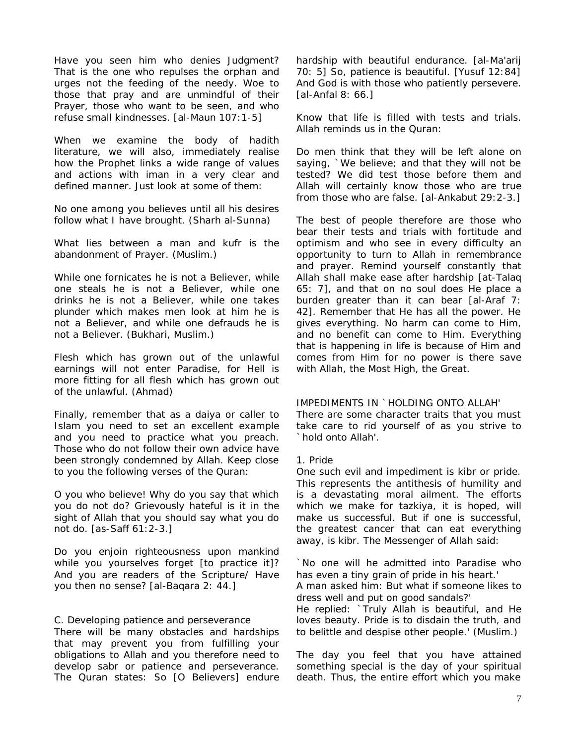Have you seen him who denies Judgment? That is the one who repulses the orphan and urges not the feeding of the needy. Woe to those that pray and are unmindful of their Prayer, those who want to be seen, and who refuse small kindnesses. [al-Maun 107:1-5]

When we examine the body of hadith literature, we will also, immediately realise how the Prophet links a wide range of values and actions with iman in a very clear and defined manner. Just look at some of them:

No one among you believes until all his desires follow what I have brought. (Sharh al-Sunna)

What lies between a man and kufr is the abandonment of Prayer. (Muslim.)

While one fornicates he is not a Believer, while one steals he is not a Believer, while one drinks he is not a Believer, while one takes plunder which makes men look at him he is not a Believer, and while one defrauds he is not a Believer. (Bukhari, Muslim.)

Flesh which has grown out of the unlawful earnings will not enter Paradise, for Hell is more fitting for all flesh which has grown out of the unlawful. (Ahmad)

Finally, remember that as a daiya or caller to Islam you need to set an excellent example and you need to practice what you preach. Those who do not follow their own advice have been strongly condemned by Allah. Keep close to you the following verses of the Quran:

O you who believe! Why do you say that which you do not do? Grievously hateful is it in the sight of Allah that you should say what you do not do. [as-Saff 61:2-3.]

Do you enjoin righteousness upon mankind while you yourselves forget [to practice it]? And you are readers of the Scripture/ Have you then no sense? [al-Baqara 2: 44.]

#### C. Developing patience and perseverance

There will be many obstacles and hardships that may prevent you from fulfilling your obligations to Allah and you therefore need to develop sabr or patience and perseverance. The Quran states: So [O Believers] endure hardship with beautiful endurance. [al-Ma'arij 70: 5] So, patience is beautiful. [Yusuf 12:84] And God is with those who patiently persevere. [al-Anfal 8: 66.]

Know that life is filled with tests and trials. Allah reminds us in the Quran:

Do men think that they will be left alone on saying, `We believe; and that they will not be tested? We did test those before them and Allah will certainly know those who are true from those who are false. [al-Ankabut 29:2-3.]

The best of people therefore are those who bear their tests and trials with fortitude and optimism and who see in every difficulty an opportunity to turn to Allah in remembrance and prayer. Remind yourself constantly that Allah shall make ease after hardship [at-Talaq 65: 7], and that on no soul does He place a burden greater than it can bear [al-Araf 7: 42]. Remember that He has all the power. He gives everything. No harm can come to Him, and no benefit can come to Him. Everything that is happening in life is because of Him and comes from Him for no power is there save with Allah, the Most High, the Great.

#### IMPEDIMENTS IN `HOLDING ONTO ALLAH'

There are some character traits that you must take care to rid yourself of as you strive to `hold onto Allah'.

#### 1. Pride

One such evil and impediment is kibr or pride. This represents the antithesis of humility and is a devastating moral ailment. The efforts which we make for tazkiya, it is hoped, will make us successful. But if one is successful, the greatest cancer that can eat everything away, is kibr. The Messenger of Allah said:

`No one will he admitted into Paradise who has even a tiny grain of pride in his heart.' A man asked him: But what if someone likes to

dress well and put on good sandals?'

He replied: `Truly Allah is beautiful, and He loves beauty. Pride is to disdain the truth, and to belittle and despise other people.' (Muslim.)

The day you feel that you have attained something special is the day of your spiritual death. Thus, the entire effort which you make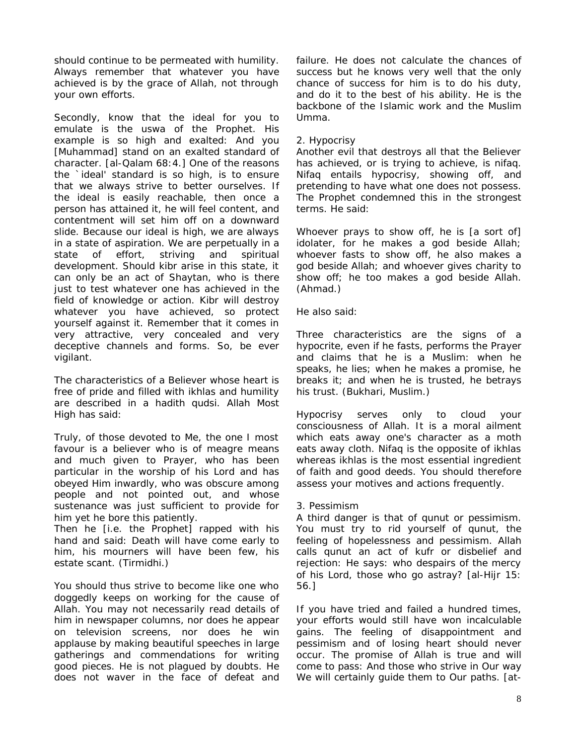should continue to be permeated with humility. Always remember that whatever you have achieved is by the grace of Allah, not through your own efforts.

Secondly, know that the ideal for you to emulate is the uswa of the Prophet. His example is so high and exalted: And you [Muhammad] stand on an exalted standard of character. [al-Qalam 68:4.] One of the reasons the `ideal' standard is so high, is to ensure that we always strive to better ourselves. If the ideal is easily reachable, then once a person has attained it, he will feel content, and contentment will set him off on a downward slide. Because our ideal is high, we are always in a state of aspiration. We are perpetually in a state of effort, striving and spiritual development. Should kibr arise in this state, it can only be an act of Shaytan, who is there just to test whatever one has achieved in the field of knowledge or action. Kibr will destroy whatever you have achieved, so protect yourself against it. Remember that it comes in very attractive, very concealed and very deceptive channels and forms. So, be ever vigilant.

The characteristics of a Believer whose heart is free of pride and filled with ikhlas and humility are described in a hadith qudsi. Allah Most High has said:

Truly, of those devoted to Me, the one I most favour is a believer who is of meagre means and much given to Prayer, who has been particular in the worship of his Lord and has obeyed Him inwardly, who was obscure among people and not pointed out, and whose sustenance was just sufficient to provide for him yet he bore this patiently.

Then he [i.e. the Prophet] rapped with his hand and said: Death will have come early to him, his mourners will have been few, his estate scant. (Tirmidhi.)

You should thus strive to become like one who doggedly keeps on working for the cause of Allah. You may not necessarily read details of him in newspaper columns, nor does he appear on television screens, nor does he win applause by making beautiful speeches in large gatherings and commendations for writing good pieces. He is not plagued by doubts. He does not waver in the face of defeat and failure. He does not calculate the chances of success but he knows very well that the only chance of success for him is to do his duty, and do it to the best of his ability. He is the backbone of the Islamic work and the Muslim Umma.

# 2. Hypocrisy

Another evil that destroys all that the Believer has achieved, or is trying to achieve, is nifaq. Nifaq entails hypocrisy, showing off, and pretending to have what one does not possess. The Prophet condemned this in the strongest terms. He said:

Whoever prays to show off, he is [a sort of] idolater, for he makes a god beside Allah; whoever fasts to show off, he also makes a god beside Allah; and whoever gives charity to show off; he too makes a god beside Allah. (Ahmad.)

He also said:

Three characteristics are the signs of a hypocrite, even if he fasts, performs the Prayer and claims that he is a Muslim: when he speaks, he lies; when he makes a promise, he breaks it; and when he is trusted, he betrays his trust. (Bukhari, Muslim.)

Hypocrisy serves only to cloud your consciousness of Allah. It is a moral ailment which eats away one's character as a moth eats away cloth. Nifaq is the opposite of ikhlas whereas ikhlas is the most essential ingredient of faith and good deeds. You should therefore assess your motives and actions frequently.

3. Pessimism

A third danger is that of qunut or pessimism. You must try to rid yourself of qunut, the feeling of hopelessness and pessimism. Allah calls qunut an act of kufr or disbelief and rejection: He says: who despairs of the mercy of his Lord, those who go astray? [al-Hijr 15: 56.]

If you have tried and failed a hundred times, your efforts would still have won incalculable gains. The feeling of disappointment and pessimism and of losing heart should never occur. The promise of Allah is true and will come to pass: And those who strive in Our way We will certainly guide them to Our paths. [at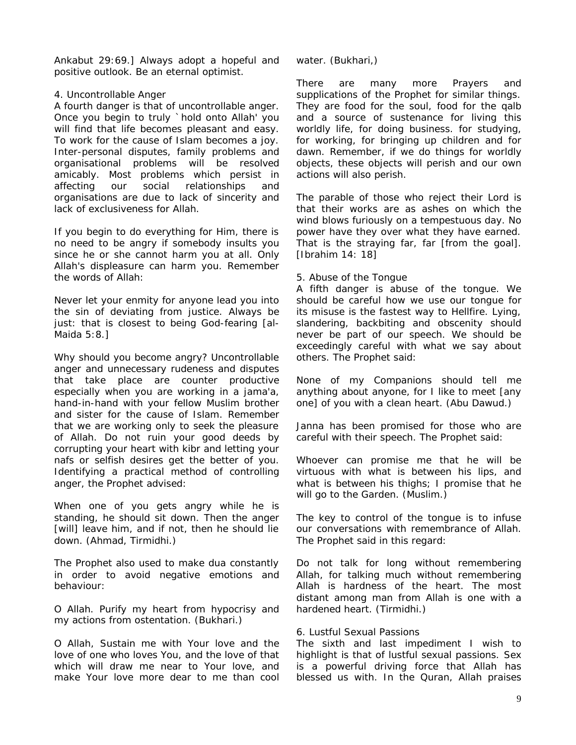Ankabut 29:69.] Always adopt a hopeful and positive outlook. Be an eternal optimist.

# 4. Uncontrollable Anger

A fourth danger is that of uncontrollable anger. Once you begin to truly `hold onto Allah' you will find that life becomes pleasant and easy. To work for the cause of Islam becomes a joy. Inter-personal disputes, family problems and organisational problems will be resolved amicably. Most problems which persist in affecting our social relationships and organisations are due to lack of sincerity and lack of exclusiveness for Allah.

If you begin to do everything for Him, there is no need to be angry if somebody insults you since he or she cannot harm you at all. Only Allah's displeasure can harm you. Remember the words of Allah:

Never let your enmity for anyone lead you into the sin of deviating from justice. Always be just: that is closest to being God-fearing [al-Maida 5:8.]

Why should you become angry? Uncontrollable anger and unnecessary rudeness and disputes that take place are counter productive especially when you are working in a jama'a, hand-in-hand with your fellow Muslim brother and sister for the cause of Islam. Remember that we are working only to seek the pleasure of Allah. Do not ruin your good deeds by corrupting your heart with kibr and letting your nafs or selfish desires get the better of you. Identifying a practical method of controlling anger, the Prophet advised:

When one of you gets angry while he is standing, he should sit down. Then the anger [will] leave him, and if not, then he should lie down. (Ahmad, Tirmidhi.)

The Prophet also used to make dua constantly in order to avoid negative emotions and behaviour:

O Allah. Purify my heart from hypocrisy and my actions from ostentation. (Bukhari.)

O Allah, Sustain me with Your love and the love of one who loves You, and the love of that which will draw me near to Your love, and make Your love more dear to me than cool water. (Bukhari,)

There are many more Prayers and supplications of the Prophet for similar things. They are food for the soul, food for the qalb and a source of sustenance for living this worldly life, for doing business. for studying, for working, for bringing up children and for dawn. Remember, if we do things for worldly objects, these objects will perish and our own actions will also perish.

The parable of those who reject their Lord is that their works are as ashes on which the wind blows furiously on a tempestuous day. No power have they over what they have earned. That is the straying far, far [from the goal]. [Ibrahim 14: 18]

#### 5. Abuse of the Tongue

A fifth danger is abuse of the tongue. We should be careful how we use our tongue for its misuse is the fastest way to Hellfire. Lying, slandering, backbiting and obscenity should never be part of our speech. We should be exceedingly careful with what we say about others. The Prophet said:

None of my Companions should tell me anything about anyone, for I like to meet [any one] of you with a clean heart. (Abu Dawud.)

Janna has been promised for those who are careful with their speech. The Prophet said:

Whoever can promise me that he will be virtuous with what is between his lips, and what is between his thighs; I promise that he will go to the Garden. (Muslim.)

The key to control of the tongue is to infuse our conversations with remembrance of Allah. The Prophet said in this regard:

Do not talk for long without remembering Allah, for talking much without remembering Allah is hardness of the heart. The most distant among man from Allah is one with a hardened heart. (Tirmidhi.)

# 6. Lustful Sexual Passions

The sixth and last impediment I wish to highlight is that of lustful sexual passions. Sex is a powerful driving force that Allah has blessed us with. In the Quran, Allah praises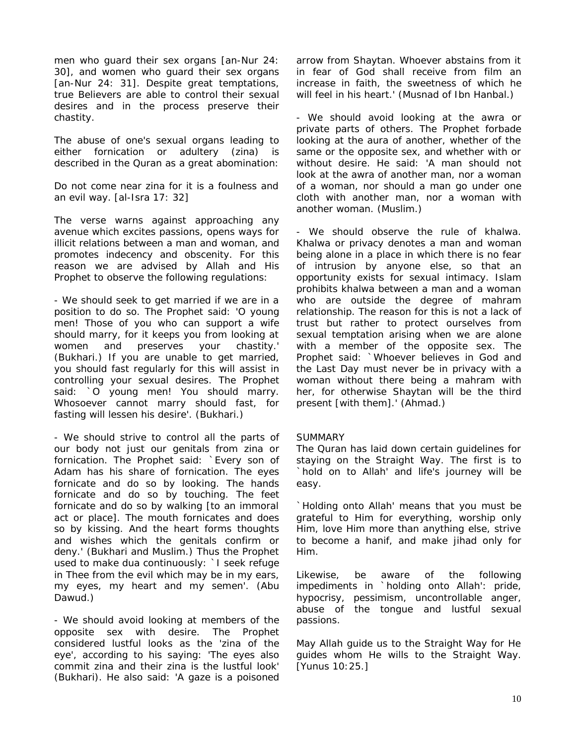men who guard their sex organs [an-Nur 24: 30], and women who guard their sex organs [an-Nur 24: 31]. Despite great temptations, true Believers are able to control their sexual desires and in the process preserve their chastity.

The abuse of one's sexual organs leading to either fornication or adultery (zina) is described in the Quran as a great abomination:

Do not come near zina for it is a foulness and an evil way. [al-Isra 17: 32]

The verse warns against approaching any avenue which excites passions, opens ways for illicit relations between a man and woman, and promotes indecency and obscenity. For this reason we are advised by Allah and His Prophet to observe the following regulations:

- We should seek to get married if we are in a position to do so. The Prophet said: 'O young men! Those of you who can support a wife should marry, for it keeps you from looking at women and preserves your chastity.' (Bukhari.) If you are unable to get married, you should fast regularly for this will assist in controlling your sexual desires. The Prophet said: `O young men! You should marry. Whosoever cannot marry should fast, for fasting will lessen his desire'. (Bukhari.)

- We should strive to control all the parts of our body not just our genitals from zina or fornication. The Prophet said: `Every son of Adam has his share of fornication. The eyes fornicate and do so by looking. The hands fornicate and do so by touching. The feet fornicate and do so by walking [to an immoral act or place]. The mouth fornicates and does so by kissing. And the heart forms thoughts and wishes which the genitals confirm or deny.' (Bukhari and Muslim.) Thus the Prophet used to make dua continuously: `I seek refuge in Thee from the evil which may be in my ears, my eyes, my heart and my semen'. (Abu Dawud.)

- We should avoid looking at members of the opposite sex with desire. The Prophet considered lustful looks as the 'zina of the eye', according to his saying: 'The eyes also commit zina and their zina is the lustful look' (Bukhari). He also said: 'A gaze is a poisoned

arrow from Shaytan. Whoever abstains from it in fear of God shall receive from film an increase in faith, the sweetness of which he will feel in his heart.' (Musnad of Ibn Hanbal.)

- We should avoid looking at the awra or private parts of others. The Prophet forbade looking at the aura of another, whether of the same or the opposite sex, and whether with or without desire. He said: 'A man should not look at the awra of another man, nor a woman of a woman, nor should a man go under one cloth with another man, nor a woman with another woman. (Muslim.)

- We should observe the rule of khalwa. Khalwa or privacy denotes a man and woman being alone in a place in which there is no fear of intrusion by anyone else, so that an opportunity exists for sexual intimacy. Islam prohibits khalwa between a man and a woman who are outside the degree of mahram relationship. The reason for this is not a lack of trust but rather to protect ourselves from sexual temptation arising when we are alone with a member of the opposite sex. The Prophet said: `Whoever believes in God and the Last Day must never be in privacy with a woman without there being a mahram with her, for otherwise Shaytan will be the third present [with them].' (Ahmad.)

# SUMMARY

The Quran has laid down certain guidelines for staying on the Straight Way. The first is to `hold on to Allah' and life's journey will be easy.

`Holding onto Allah' means that you must be grateful to Him for everything, worship only Him, love Him more than anything else, strive to become a hanif, and make jihad only for Him.

Likewise, be aware of the following impediments in `holding onto Allah': pride, hypocrisy, pessimism, uncontrollable anger, abuse of the tongue and lustful sexual passions.

May Allah guide us to the Straight Way for He guides whom He wills to the Straight Way. [Yunus 10:25.]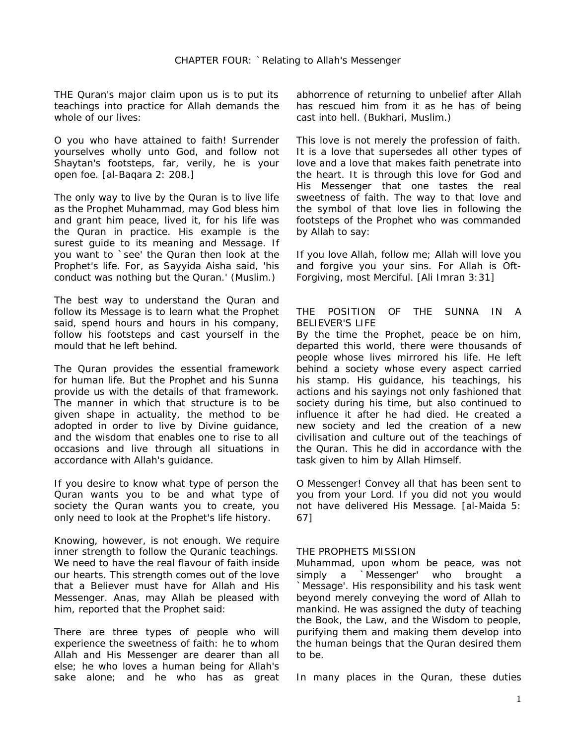THE Quran's major claim upon us is to put its teachings into practice for Allah demands the whole of our lives:

O you who have attained to faith! Surrender yourselves wholly unto God, and follow not Shaytan's footsteps, far, verily, he is your open foe. [al-Baqara 2: 208.]

The only way to live by the Quran is to live life as the Prophet Muhammad, may God bless him and grant him peace, lived it, for his life was the Quran in practice. His example is the surest guide to its meaning and Message. If you want to `see' the Quran then look at the Prophet's life. For, as Sayyida Aisha said, 'his conduct was nothing but the Quran.' (Muslim.)

The best way to understand the Quran and follow its Message is to learn what the Prophet said, spend hours and hours in his company, follow his footsteps and cast yourself in the mould that he left behind.

The Quran provides the essential framework for human life. But the Prophet and his Sunna provide us with the details of that framework. The manner in which that structure is to be given shape in actuality, the method to be adopted in order to live by Divine guidance, and the wisdom that enables one to rise to all occasions and live through all situations in accordance with Allah's guidance.

If you desire to know what type of person the Quran wants you to be and what type of society the Quran wants you to create, you only need to look at the Prophet's life history.

Knowing, however, is not enough. We require inner strength to follow the Quranic teachings. We need to have the real flavour of faith inside our hearts. This strength comes out of the love that a Believer must have for Allah and His Messenger. Anas, may Allah be pleased with him, reported that the Prophet said:

There are three types of people who will experience the sweetness of faith: he to whom Allah and His Messenger are dearer than all else; he who loves a human being for Allah's sake alone; and he who has as great abhorrence of returning to unbelief after Allah has rescued him from it as he has of being cast into hell. (Bukhari, Muslim.)

This love is not merely the profession of faith. It is a love that supersedes all other types of love and a love that makes faith penetrate into the heart. It is through this love for God and His Messenger that one tastes the real sweetness of faith. The way to that love and the symbol of that love lies in following the footsteps of the Prophet who was commanded by Allah to say:

If you love Allah, follow me; Allah will love you and forgive you your sins. For Allah is Oft-Forgiving, most Merciful. [Ali Imran 3:31]

# THE POSITION OF THE SUNNA IN A BELIEVER'S LIFE

By the time the Prophet, peace be on him, departed this world, there were thousands of people whose lives mirrored his life. He left behind a society whose every aspect carried his stamp. His guidance, his teachings, his actions and his sayings not only fashioned that society during his time, but also continued to influence it after he had died. He created a new society and led the creation of a new civilisation and culture out of the teachings of the Quran. This he did in accordance with the task given to him by Allah Himself.

O Messenger! Convey all that has been sent to you from your Lord. If you did not you would not have delivered His Message. [al-Maida 5: 67]

# THE PROPHETS MISSION

Muhammad, upon whom be peace, was not simply a `Messenger' who brought a Message'. His responsibility and his task went beyond merely conveying the word of Allah to mankind. He was assigned the duty of teaching the Book, the Law, and the Wisdom to people, purifying them and making them develop into the human beings that the Quran desired them to be.

In many places in the Quran, these duties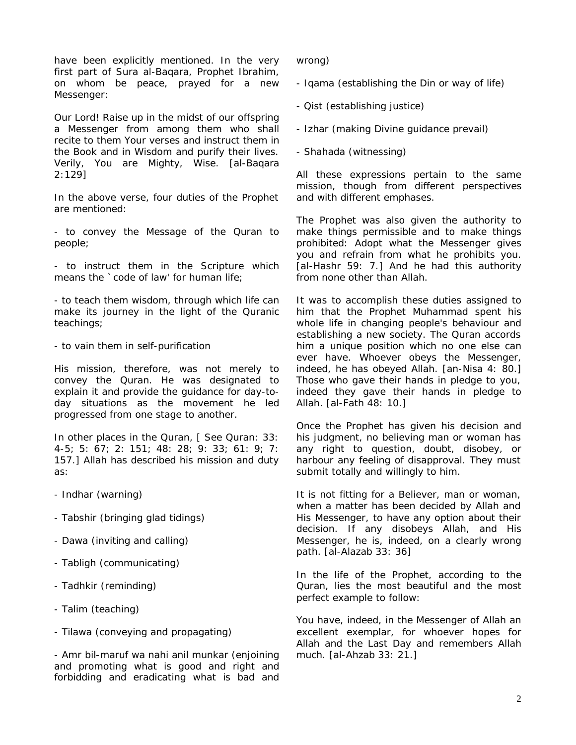have been explicitly mentioned. In the very first part of Sura al-Baqara, Prophet Ibrahim, on whom be peace, prayed for a new Messenger:

Our Lord! Raise up in the midst of our offspring a Messenger from among them who shall recite to them Your verses and instruct them in the Book and in Wisdom and purify their lives. Verily, You are Mighty, Wise. [al-Baqara 2:129]

In the above verse, four duties of the Prophet are mentioned:

- to convey the Message of the Quran to people;

- to instruct them in the Scripture which means the `code of law' for human life;

- to teach them wisdom, through which life can make its journey in the light of the Quranic teachings;

- to vain them in self-purification

His mission, therefore, was not merely to convey the Quran. He was designated to explain it and provide the guidance for day-today situations as the movement he led progressed from one stage to another.

In other places in the Quran, [ See Quran: 33: 4-5; 5: 67; 2: 151; 48: 28; 9: 33; 61: 9; 7: 157.] Allah has described his mission and duty as:

- Indhar (warning)
- Tabshir (bringing glad tidings)
- Dawa (inviting and calling)
- Tabligh (communicating)
- Tadhkir (reminding)
- Talim (teaching)
- Tilawa (conveying and propagating)

- Amr bil-maruf wa nahi anil munkar (enjoining and promoting what is good and right and forbidding and eradicating what is bad and

wrong)

- Iqama (establishing the Din or way of life)
- Qist (establishing justice)
- Izhar (making Divine guidance prevail)
- Shahada (witnessing)

All these expressions pertain to the same mission, though from different perspectives and with different emphases.

The Prophet was also given the authority to make things permissible and to make things prohibited: Adopt what the Messenger gives you and refrain from what he prohibits you. [al-Hashr 59: 7.] And he had this authority from none other than Allah.

It was to accomplish these duties assigned to him that the Prophet Muhammad spent his whole life in changing people's behaviour and establishing a new society. The Quran accords him a unique position which no one else can ever have. Whoever obeys the Messenger, indeed, he has obeyed Allah. [an-Nisa 4: 80.] Those who gave their hands in pledge to you, indeed they gave their hands in pledge to Allah. [al-Fath 48: 10.]

Once the Prophet has given his decision and his judgment, no believing man or woman has any right to question, doubt, disobey, or harbour any feeling of disapproval. They must submit totally and willingly to him.

It is not fitting for a Believer, man or woman, when a matter has been decided by Allah and His Messenger, to have any option about their decision. If any disobeys Allah, and His Messenger, he is, indeed, on a clearly wrong path. [al-Alazab 33: 36]

In the life of the Prophet, according to the Quran, lies the most beautiful and the most perfect example to follow:

You have, indeed, in the Messenger of Allah an excellent exemplar, for whoever hopes for Allah and the Last Day and remembers Allah much. [al-Ahzab 33: 21.]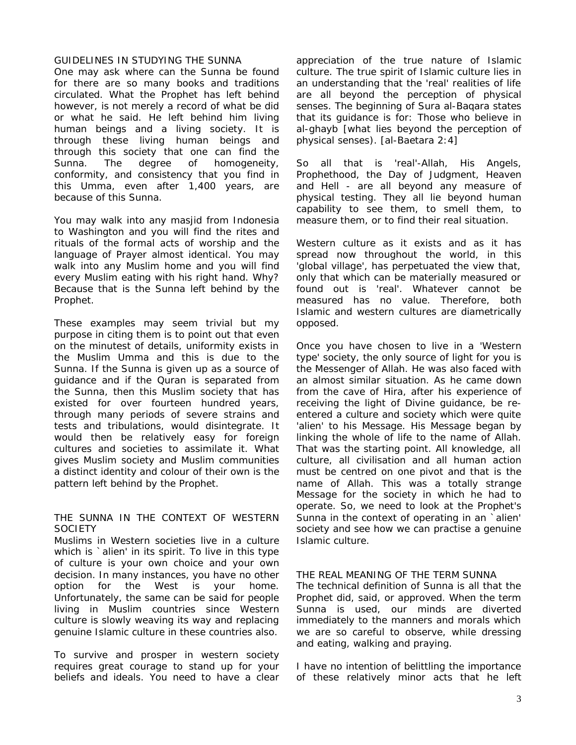#### GUIDELINES IN STUDYING THE SUNNA

One may ask where can the Sunna be found for there are so many books and traditions circulated. What the Prophet has left behind however, is not merely a record of what be did or what he said. He left behind him living human beings and a living society. It is through these living human beings and through this society that one can find the Sunna. The degree of homogeneity, conformity, and consistency that you find in this Umma, even after 1,400 years, are because of this Sunna.

You may walk into any masjid from Indonesia to Washington and you will find the rites and rituals of the formal acts of worship and the language of Prayer almost identical. You may walk into any Muslim home and you will find every Muslim eating with his right hand. Why? Because that is the Sunna left behind by the Prophet.

These examples may seem trivial but my purpose in citing them is to point out that even on the minutest of details, uniformity exists in the Muslim Umma and this is due to the Sunna. If the Sunna is given up as a source of guidance and if the Quran is separated from the Sunna, then this Muslim society that has existed for over fourteen hundred years, through many periods of severe strains and tests and tribulations, would disintegrate. It would then be relatively easy for foreign cultures and societies to assimilate it. What gives Muslim society and Muslim communities a distinct identity and colour of their own is the pattern left behind by the Prophet.

# THE SUNNA IN THE CONTEXT OF WESTERN **SOCIETY**

Muslims in Western societies live in a culture which is `alien' in its spirit. To live in this type of culture is your own choice and your own decision. In many instances, you have no other option for the West is your home. Unfortunately, the same can be said for people living in Muslim countries since Western culture is slowly weaving its way and replacing genuine Islamic culture in these countries also.

To survive and prosper in western society requires great courage to stand up for your beliefs and ideals. You need to have a clear appreciation of the true nature of Islamic culture. The true spirit of Islamic culture lies in an understanding that the 'real' realities of life are all beyond the perception of physical senses. The beginning of Sura al-Baqara states that its guidance is for: Those who believe in al-ghayb [what lies beyond the perception of physical senses). [al-Baetara 2:4]

So all that is 'real'-Allah, His Angels, Prophethood, the Day of Judgment, Heaven and Hell - are all beyond any measure of physical testing. They all lie beyond human capability to see them, to smell them, to measure them, or to find their real situation.

Western culture as it exists and as it has spread now throughout the world, in this 'global village', has perpetuated the view that, only that which can be materially measured or found out is 'real'. Whatever cannot be measured has no value. Therefore, both Islamic and western cultures are diametrically opposed.

Once you have chosen to live in a 'Western type' society, the only source of light for you is the Messenger of Allah. He was also faced with an almost similar situation. As he came down from the cave of Hira, after his experience of receiving the light of Divine guidance, be reentered a culture and society which were quite 'alien' to his Message. His Message began by linking the whole of life to the name of Allah. That was the starting point. All knowledge, all culture, all civilisation and all human action must be centred on one pivot and that is the name of Allah. This was a totally strange Message for the society in which he had to operate. So, we need to look at the Prophet's Sunna in the context of operating in an `alien' society and see how we can practise a genuine Islamic culture.

# THE REAL MEANING OF THE TERM SUNNA

The technical definition of Sunna is all that the Prophet did, said, or approved. When the term Sunna is used, our minds are diverted immediately to the manners and morals which we are so careful to observe, while dressing and eating, walking and praying.

I have no intention of belittling the importance of these relatively minor acts that he left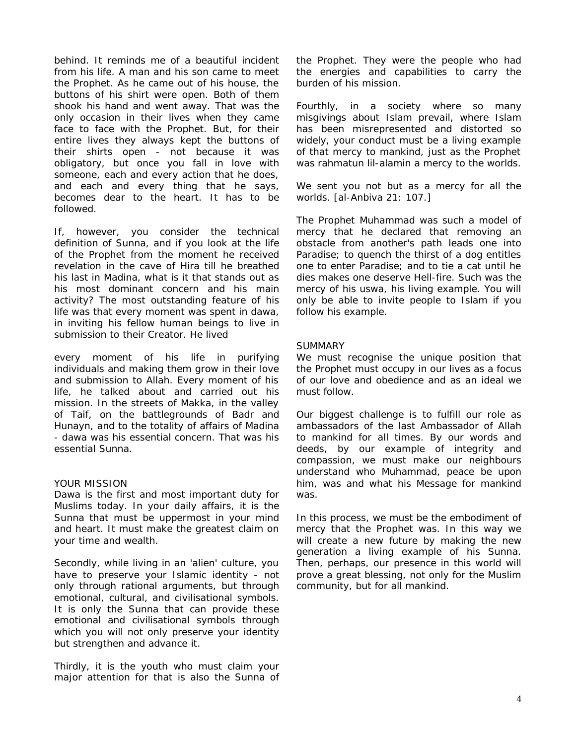behind. It reminds me of a beautiful incident from his life. A man and his son came to meet the Prophet. As he came out of his house, the buttons of his shirt were open. Both of them shook his hand and went away. That was the only occasion in their lives when they came face to face with the Prophet. But, for their entire lives they always kept the buttons of their shirts open - not because it was obligatory, but once you fall in love with someone, each and every action that he does, and each and every thing that he says, becomes dear to the heart. It has to be followed.

If, however, you consider the technical definition of Sunna, and if you look at the life of the Prophet from the moment he received revelation in the cave of Hira till he breathed his last in Madina, what is it that stands out as his most dominant concern and his main activity? The most outstanding feature of his life was that every moment was spent in dawa, in inviting his fellow human beings to live in submission to their Creator. He lived

every moment of his life in purifying individuals and making them grow in their love and submission to Allah. Every moment of his life, he talked about and carried out his mission. In the streets of Makka, in the valley of Taif, on the battlegrounds of Badr and Hunayn, and to the totality of affairs of Madina - dawa was his essential concern. That was his essential Sunna.

# YOUR MISSION

Dawa is the first and most important duty for Muslims today. In your daily affairs, it is the Sunna that must be uppermost in your mind and heart. It must make the greatest claim on your time and wealth.

Secondly, while living in an 'alien' culture, you have to preserve your Islamic identity - not only through rational arguments, but through emotional, cultural, and civilisational symbols. It is only the Sunna that can provide these emotional and civilisational symbols through which you will not only preserve your identity but strengthen and advance it.

Thirdly, it is the youth who must claim your major attention for that is also the Sunna of the Prophet. They were the people who had the energies and capabilities to carry the burden of his mission.

Fourthly, in a society where so many misgivings about Islam prevail, where Islam has been misrepresented and distorted so widely, your conduct must be a living example of that mercy to mankind, just as the Prophet was rahmatun lil-alamin a mercy to the worlds.

We sent you not but as a mercy for all the worlds. [al-Anbiva 21: 107.]

The Prophet Muhammad was such a model of mercy that he declared that removing an obstacle from another's path leads one into Paradise; to quench the thirst of a dog entitles one to enter Paradise; and to tie a cat until he dies makes one deserve Hell-fire. Such was the mercy of his uswa, his living example. You will only be able to invite people to Islam if you follow his example.

# **SUMMARY**

We must recognise the unique position that the Prophet must occupy in our lives as a focus of our love and obedience and as an ideal we must follow.

Our biggest challenge is to fulfill our role as ambassadors of the last Ambassador of Allah to mankind for all times. By our words and deeds, by our example of integrity and compassion, we must make our neighbours understand who Muhammad, peace be upon him, was and what his Message for mankind was.

In this process, we must be the embodiment of mercy that the Prophet was. In this way we will create a new future by making the new generation a living example of his Sunna. Then, perhaps, our presence in this world will prove a great blessing, not only for the Muslim community, but for all mankind.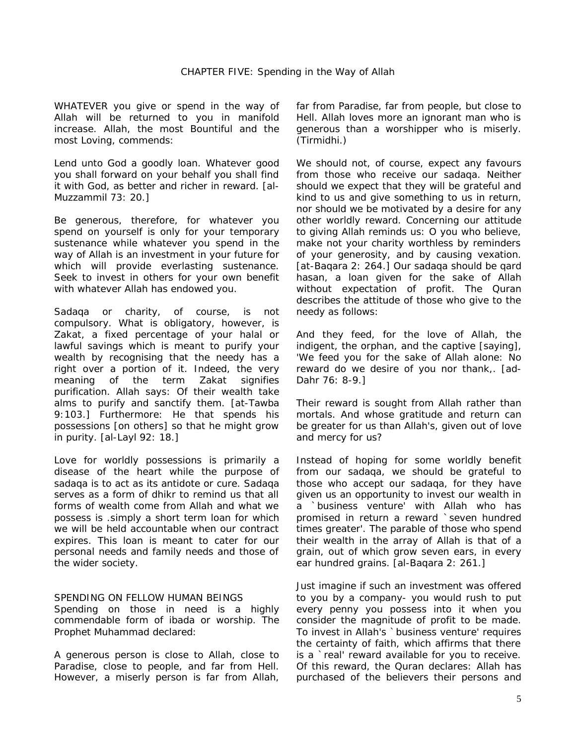WHATEVER you give or spend in the way of Allah will be returned to you in manifold increase. Allah, the most Bountiful and the most Loving, commends:

Lend unto God a goodly loan. Whatever good you shall forward on your behalf you shall find it with God, as better and richer in reward. [al-Muzzammil 73: 20.]

Be generous, therefore, for whatever you spend on yourself is only for your temporary sustenance while whatever you spend in the way of Allah is an investment in your future for which will provide everlasting sustenance. Seek to invest in others for your own benefit with whatever Allah has endowed you.

Sadaqa or charity, of course, is not compulsory. What is obligatory, however, is Zakat, a fixed percentage of your halal or lawful savings which is meant to purify your wealth by recognising that the needy has a right over a portion of it. Indeed, the very meaning of the term Zakat signifies purification. Allah says: Of their wealth take alms to purify and sanctify them. [at-Tawba 9:103.] Furthermore: He that spends his possessions [on others] so that he might grow in purity. [al-Layl 92: 18.]

Love for worldly possessions is primarily a disease of the heart while the purpose of sadaqa is to act as its antidote or cure. Sadaqa serves as a form of dhikr to remind us that all forms of wealth come from Allah and what we possess is .simply a short term loan for which we will be held accountable when our contract expires. This loan is meant to cater for our personal needs and family needs and those of the wider society.

# SPENDING ON FELLOW HUMAN BEINGS

Spending on those in need is a highly commendable form of ibada or worship. The Prophet Muhammad declared:

A generous person is close to Allah, close to Paradise, close to people, and far from Hell. However, a miserly person is far from Allah, far from Paradise, far from people, but close to Hell. Allah loves more an ignorant man who is generous than a worshipper who is miserly. (Tirmidhi.)

We should not, of course, expect any favours from those who receive our sadaqa. Neither should we expect that they will be grateful and kind to us and give something to us in return, nor should we be motivated by a desire for any other worldly reward. Concerning our attitude to giving Allah reminds us: O you who believe, make not your charity worthless by reminders of your generosity, and by causing vexation. [at-Baqara 2: 264.] Our sadaqa should be qard hasan, a loan given for the sake of Allah without expectation of profit. The Quran describes the attitude of those who give to the needy as follows:

And they feed, for the love of Allah, the indigent, the orphan, and the captive [saying], 'We feed you for the sake of Allah alone: No reward do we desire of you nor thank,. [ad-Dahr 76: 8-9.]

Their reward is sought from Allah rather than mortals. And whose gratitude and return can be greater for us than Allah's, given out of love and mercy for us?

Instead of hoping for some worldly benefit from our sadaqa, we should be grateful to those who accept our sadaqa, for they have given us an opportunity to invest our wealth in a `business venture' with Allah who has promised in return a reward `seven hundred times greater'. The parable of those who spend their wealth in the array of Allah is that of a grain, out of which grow seven ears, in every ear hundred grains. [al-Baqara 2: 261.]

Just imagine if such an investment was offered to you by a company- you would rush to put every penny you possess into it when you consider the magnitude of profit to be made. To invest in Allah's `business venture' requires the certainty of faith, which affirms that there is a `real' reward available for you to receive. Of this reward, the Quran declares: Allah has purchased of the believers their persons and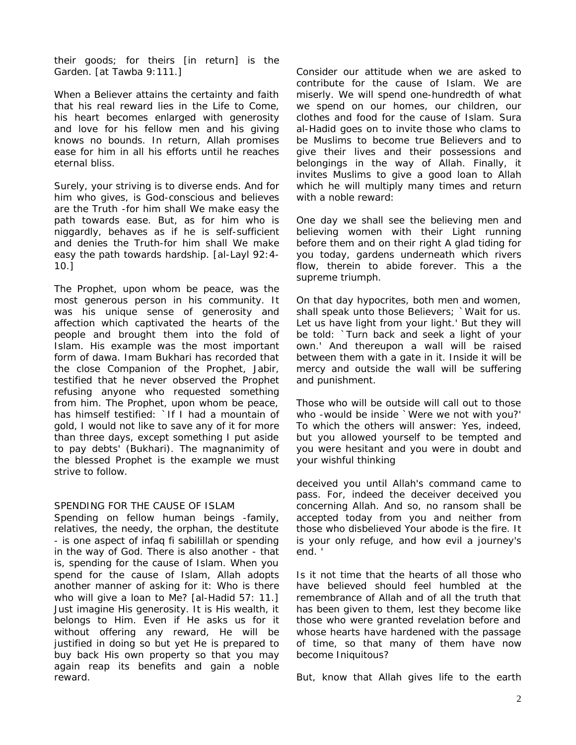their goods; for theirs [in return] is the Garden. [at Tawba 9:111.]

When a Believer attains the certainty and faith that his real reward lies in the Life to Come, his heart becomes enlarged with generosity and love for his fellow men and his giving knows no bounds. In return, Allah promises ease for him in all his efforts until he reaches eternal bliss.

Surely, your striving is to diverse ends. And for him who gives, is God-conscious and believes are the Truth -for him shall We make easy the path towards ease. But, as for him who is niggardly, behaves as if he is self-sufficient and denies the Truth-for him shall We make easy the path towards hardship. [al-Layl 92:4- 10.]

The Prophet, upon whom be peace, was the most generous person in his community. It was his unique sense of generosity and affection which captivated the hearts of the people and brought them into the fold of Islam. His example was the most important form of dawa. Imam Bukhari has recorded that the close Companion of the Prophet, Jabir, testified that he never observed the Prophet refusing anyone who requested something from him. The Prophet, upon whom be peace, has himself testified: `If I had a mountain of gold, I would not like to save any of it for more than three days, except something I put aside to pay debts' (Bukhari). The magnanimity of the blessed Prophet is the example we must strive to follow.

# SPENDING FOR THE CAUSE OF ISLAM

Spending on fellow human beings -family, relatives, the needy, the orphan, the destitute - is one aspect of infaq fi sabilillah or spending in the way of God. There is also another - that is, spending for the cause of Islam. When you spend for the cause of Islam, Allah adopts another manner of asking for it: Who is there who will give a loan to Me? [al-Hadid 57: 11.] Just imagine His generosity. It is His wealth, it belongs to Him. Even if He asks us for it without offering any reward, He will be justified in doing so but yet He is prepared to buy back His own property so that you may again reap its benefits and gain a noble reward.

Consider our attitude when we are asked to contribute for the cause of Islam. We are miserly. We will spend one-hundredth of what we spend on our homes, our children, our clothes and food for the cause of Islam. Sura al-Hadid goes on to invite those who clams to be Muslims to become true Believers and to give their lives and their possessions and belongings in the way of Allah. Finally, it invites Muslims to give a good loan to Allah which he will multiply many times and return with a noble reward:

One day we shall see the believing men and believing women with their Light running before them and on their right A glad tiding for you today, gardens underneath which rivers flow, therein to abide forever. This a the supreme triumph.

On that day hypocrites, both men and women, shall speak unto those Believers; `Wait for us. Let us have light from your light.' But they will be told: `Turn back and seek a light of your own.' And thereupon a wall will be raised between them with a gate in it. Inside it will be mercy and outside the wall will be suffering and punishment.

Those who will be outside will call out to those who -would be inside `Were we not with you?' To which the others will answer: Yes, indeed, but you allowed yourself to be tempted and you were hesitant and you were in doubt and your wishful thinking

deceived you until Allah's command came to pass. For, indeed the deceiver deceived you concerning Allah. And so, no ransom shall be accepted today from you and neither from those who disbelieved Your abode is the fire. It is your only refuge, and how evil a journey's end. '

Is it not time that the hearts of all those who have believed should feel humbled at the remembrance of Allah and of all the truth that has been given to them, lest they become like those who were granted revelation before and whose hearts have hardened with the passage of time, so that many of them have now become Iniquitous?

But, know that Allah gives life to the earth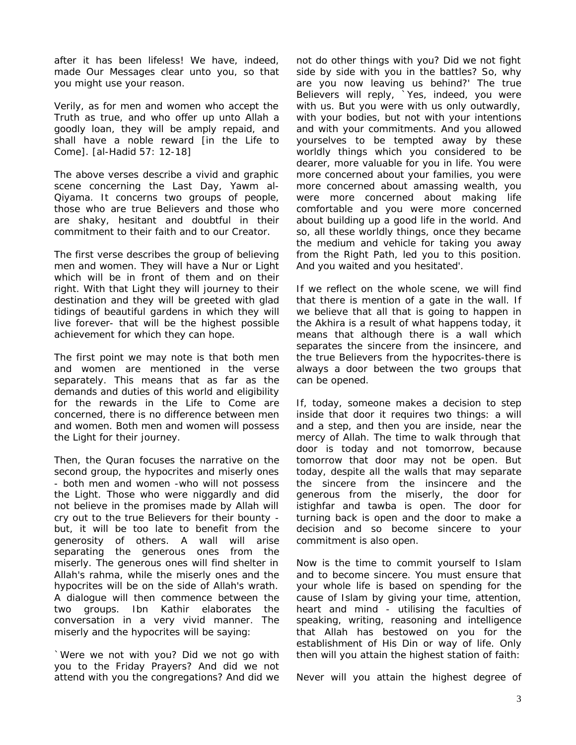after it has been lifeless! We have, indeed, made Our Messages clear unto you, so that you might use your reason.

Verily, as for men and women who accept the Truth as true, and who offer up unto Allah a goodly loan, they will be amply repaid, and shall have a noble reward [in the Life to Come]. [al-Hadid 57: 12-18]

The above verses describe a vivid and graphic scene concerning the Last Day, Yawm al-Qiyama. It concerns two groups of people, those who are true Believers and those who are shaky, hesitant and doubtful in their commitment to their faith and to our Creator.

The first verse describes the group of believing men and women. They will have a Nur or Light which will be in front of them and on their right. With that Light they will journey to their destination and they will be greeted with glad tidings of beautiful gardens in which they will live forever- that will be the highest possible achievement for which they can hope.

The first point we may note is that both men and women are mentioned in the verse separately. This means that as far as the demands and duties of this world and eligibility for the rewards in the Life to Come are concerned, there is no difference between men and women. Both men and women will possess the Light for their journey.

Then, the Quran focuses the narrative on the second group, the hypocrites and miserly ones - both men and women -who will not possess the Light. Those who were niggardly and did not believe in the promises made by Allah will cry out to the true Believers for their bounty but, it will be too late to benefit from the generosity of others. A wall will arise separating the generous ones from the miserly. The generous ones will find shelter in Allah's rahma, while the miserly ones and the hypocrites will be on the side of Allah's wrath. A dialogue will then commence between the two groups. Ibn Kathir elaborates the conversation in a very vivid manner. The miserly and the hypocrites will be saying:

`Were we not with you? Did we not go with you to the Friday Prayers? And did we not attend with you the congregations? And did we not do other things with you? Did we not fight side by side with you in the battles? So, why are you now leaving us behind?' The true Believers will reply, `Yes, indeed, you were with us. But you were with us only outwardly, with your bodies, but not with your intentions and with your commitments. And you allowed yourselves to be tempted away by these worldly things which you considered to be dearer, more valuable for you in life. You were more concerned about your families, you were more concerned about amassing wealth, you were more concerned about making life comfortable and you were more concerned about building up a good life in the world. And so, all these worldly things, once they became the medium and vehicle for taking you away from the Right Path, led you to this position. And you waited and you hesitated'.

If we reflect on the whole scene, we will find that there is mention of a gate in the wall. If we believe that all that is going to happen in the Akhira is a result of what happens today, it means that although there is a wall which separates the sincere from the insincere, and the true Believers from the hypocrites-there is always a door between the two groups that can be opened.

If, today, someone makes a decision to step inside that door it requires two things: a will and a step, and then you are inside, near the mercy of Allah. The time to walk through that door is today and not tomorrow, because tomorrow that door may not be open. But today, despite all the walls that may separate the sincere from the insincere and the generous from the miserly, the door for istighfar and tawba is open. The door for turning back is open and the door to make a decision and so become sincere to your commitment is also open.

Now is the time to commit yourself to Islam and to become sincere. You must ensure that your whole life is based on spending for the cause of Islam by giving your time, attention, heart and mind - utilising the faculties of speaking, writing, reasoning and intelligence that Allah has bestowed on you for the establishment of His Din or way of life. Only then will you attain the highest station of faith:

Never will you attain the highest degree of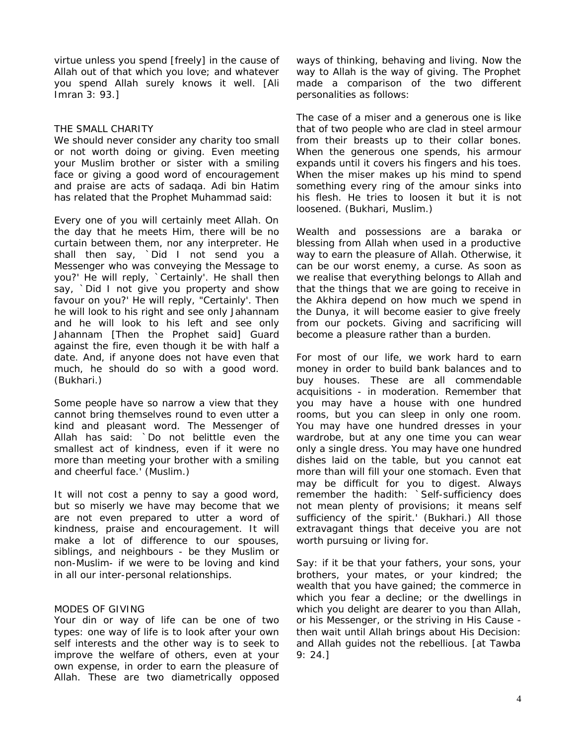virtue unless you spend [freely] in the cause of Allah out of that which you love; and whatever you spend Allah surely knows it well. [Ali Imran 3: 93.]

#### THE SMALL CHARITY

We should never consider any charity too small or not worth doing or giving. Even meeting your Muslim brother or sister with a smiling face or giving a good word of encouragement and praise are acts of sadaqa. Adi bin Hatim has related that the Prophet Muhammad said:

Every one of you will certainly meet Allah. On the day that he meets Him, there will be no curtain between them, nor any interpreter. He shall then say, `Did I not send you a Messenger who was conveying the Message to you?' He will reply, `Certainly'. He shall then say, `Did I not give you property and show favour on you?' He will reply, "Certainly'. Then he will look to his right and see only Jahannam and he will look to his left and see only Jahannam [Then the Prophet said] Guard against the fire, even though it be with half a date. And, if anyone does not have even that much, he should do so with a good word. (Bukhari.)

Some people have so narrow a view that they cannot bring themselves round to even utter a kind and pleasant word. The Messenger of Allah has said: `Do not belittle even the smallest act of kindness, even if it were no more than meeting your brother with a smiling and cheerful face.' (Muslim.)

It will not cost a penny to say a good word, but so miserly we have may become that we are not even prepared to utter a word of kindness, praise and encouragement. It will make a lot of difference to our spouses, siblings, and neighbours - be they Muslim or non-Muslim- if we were to be loving and kind in all our inter-personal relationships.

# MODES OF GIVING

Your din or way of life can be one of two types: one way of life is to look after your own self interests and the other way is to seek to improve the welfare of others, even at your own expense, in order to earn the pleasure of Allah. These are two diametrically opposed ways of thinking, behaving and living. Now the way to Allah is the way of giving. The Prophet made a comparison of the two different personalities as follows:

The case of a miser and a generous one is like that of two people who are clad in steel armour from their breasts up to their collar bones. When the generous one spends, his armour expands until it covers his fingers and his toes. When the miser makes up his mind to spend something every ring of the amour sinks into his flesh. He tries to loosen it but it is not loosened. (Bukhari, Muslim.)

Wealth and possessions are a baraka or blessing from Allah when used in a productive way to earn the pleasure of Allah. Otherwise, it can be our worst enemy, a curse. As soon as we realise that everything belongs to Allah and that the things that we are going to receive in the Akhira depend on how much we spend in the Dunya, it will become easier to give freely from our pockets. Giving and sacrificing will become a pleasure rather than a burden.

For most of our life, we work hard to earn money in order to build bank balances and to buy houses. These are all commendable acquisitions - in moderation. Remember that you may have a house with one hundred rooms, but you can sleep in only one room. You may have one hundred dresses in your wardrobe, but at any one time you can wear only a single dress. You may have one hundred dishes laid on the table, but you cannot eat more than will fill your one stomach. Even that may be difficult for you to digest. Always remember the hadith: `Self-sufficiency does not mean plenty of provisions; it means self sufficiency of the spirit.' (Bukhari.) All those extravagant things that deceive you are not worth pursuing or living for.

Say: if it be that your fathers, your sons, your brothers, your mates, or your kindred; the wealth that you have gained; the commerce in which you fear a decline; or the dwellings in which you delight are dearer to you than Allah, or his Messenger, or the striving in His Cause then wait until Allah brings about His Decision: and Allah guides not the rebellious. [at Tawba 9: 24.]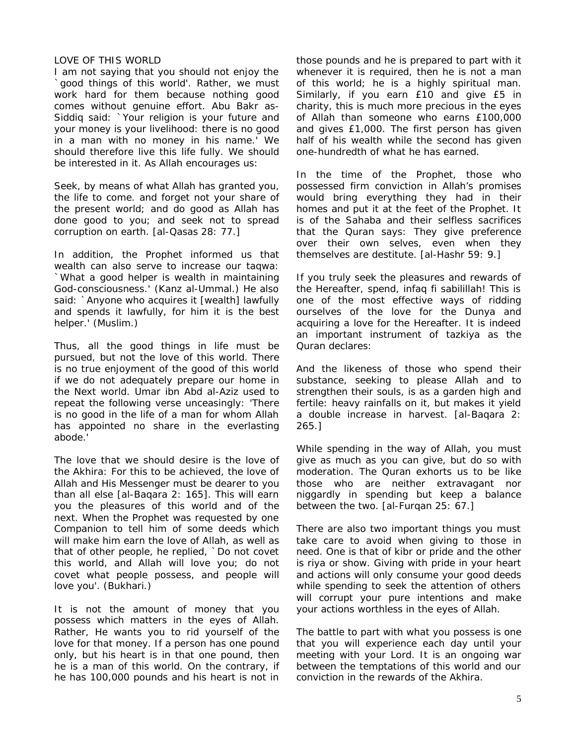#### LOVE OF THIS WORLD

I am not saying that you should not enjoy the `good things of this world'. Rather, we must work hard for them because nothing good comes without genuine effort. Abu Bakr as-Siddiq said: `Your religion is your future and your money is your livelihood: there is no good in a man with no money in his name.' We should therefore live this life fully. We should be interested in it. As Allah encourages us:

Seek, by means of what Allah has granted you, the life to come. and forget not your share of the present world; and do good as Allah has done good to you; and seek not to spread corruption on earth. [al-Qasas 28: 77.]

In addition, the Prophet informed us that wealth can also serve to increase our taqwa: `What a good helper is wealth in maintaining God-consciousness.' (Kanz al-Ummal.) He also said: `Anyone who acquires it [wealth] lawfully and spends it lawfully, for him it is the best helper.' (Muslim.)

Thus, all the good things in life must be pursued, but not the love of this world. There is no true enjoyment of the good of this world if we do not adequately prepare our home in the Next world. Umar ibn Abd al-Aziz used to repeat the following verse unceasingly: 'There is no good in the life of a man for whom Allah has appointed no share in the everlasting abode.'

The love that we should desire is the love of the Akhira: For this to be achieved, the love of Allah and His Messenger must be dearer to you than all else [al-Baqara 2: 165]. This will earn you the pleasures of this world and of the next. When the Prophet was requested by one Companion to tell him of some deeds which will make him earn the love of Allah, as well as that of other people, he replied, `Do not covet this world, and Allah will love you; do not covet what people possess, and people will love you'. (Bukhari.)

It is not the amount of money that you possess which matters in the eyes of Allah. Rather, He wants you to rid yourself of the love for that money. If a person has one pound only, but his heart is in that one pound, then he is a man of this world. On the contrary, if he has 100,000 pounds and his heart is not in those pounds and he is prepared to part with it whenever it is required, then he is not a man of this world; he is a highly spiritual man. Similarly, if you earn £10 and give £5 in charity, this is much more precious in the eyes of Allah than someone who earns £100,000 and gives £1,000. The first person has given half of his wealth while the second has given one-hundredth of what he has earned.

In the time of the Prophet, those who possessed firm conviction in Allah's promises would bring everything they had in their homes and put it at the feet of the Prophet. It is of the Sahaba and their selfless sacrifices that the Quran says: They give preference over their own selves, even when they themselves are destitute. [al-Hashr 59: 9.]

If you truly seek the pleasures and rewards of the Hereafter, spend, infaq fi sabilillah! This is one of the most effective ways of ridding ourselves of the love for the Dunya and acquiring a love for the Hereafter. It is indeed an important instrument of tazkiya as the Quran declares:

And the likeness of those who spend their substance, seeking to please Allah and to strengthen their souls, is as a garden high and fertile: heavy rainfalls on it, but makes it yield a double increase in harvest. [al-Baqara 2: 265.]

While spending in the way of Allah, you must give as much as you can give, but do so with moderation. The Quran exhorts us to be like those who are neither extravagant nor niggardly in spending but keep a balance between the two. [al-Furqan 25: 67.]

There are also two important things you must take care to avoid when giving to those in need. One is that of kibr or pride and the other is riya or show. Giving with pride in your heart and actions will only consume your good deeds while spending to seek the attention of others will corrupt your pure intentions and make your actions worthless in the eyes of Allah.

The battle to part with what you possess is one that you will experience each day until your meeting with your Lord. It is an ongoing war between the temptations of this world and our conviction in the rewards of the Akhira.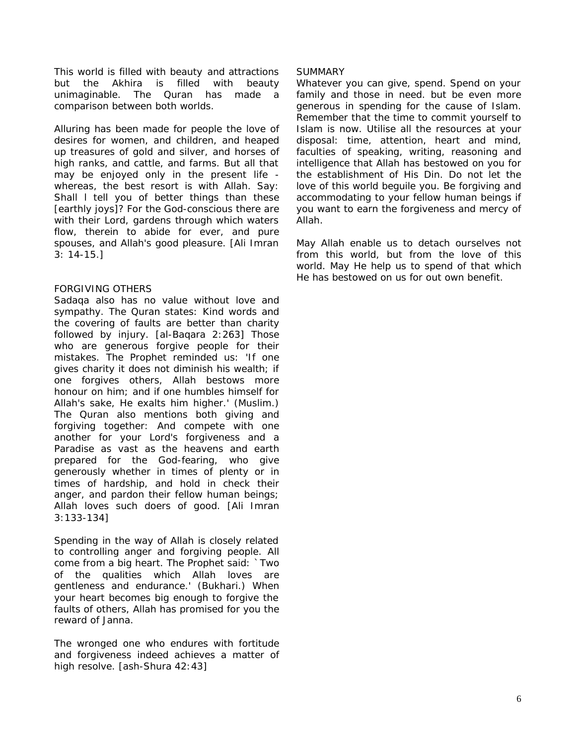This world is filled with beauty and attractions but the Akhira is filled with beauty unimaginable. The Quran has made a comparison between both worlds.

Alluring has been made for people the love of desires for women, and children, and heaped up treasures of gold and silver, and horses of high ranks, and cattle, and farms. But all that may be enjoyed only in the present life whereas, the best resort is with Allah. Say: Shall l tell you of better things than these [earthly joys]? For the God-conscious there are with their Lord, gardens through which waters flow, therein to abide for ever, and pure spouses, and Allah's good pleasure. [Ali Imran 3: 14-15.]

# FORGIVING OTHERS

Sadaqa also has no value without love and sympathy. The Quran states: Kind words and the covering of faults are better than charity followed by injury. [al-Baqara 2:263] Those who are generous forgive people for their mistakes. The Prophet reminded us: 'If one gives charity it does not diminish his wealth; if one forgives others, Allah bestows more honour on him; and if one humbles himself for Allah's sake, He exalts him higher.' (Muslim.) The Quran also mentions both giving and forgiving together: And compete with one another for your Lord's forgiveness and a Paradise as vast as the heavens and earth prepared for the God-fearing, who give generously whether in times of plenty or in times of hardship, and hold in check their anger, and pardon their fellow human beings; Allah loves such doers of good. [Ali Imran 3:133-134]

Spending in the way of Allah is closely related to controlling anger and forgiving people. All come from a big heart. The Prophet said: `Two of the qualities which Allah loves are gentleness and endurance.' (Bukhari.) When your heart becomes big enough to forgive the faults of others, Allah has promised for you the reward of Janna.

The wronged one who endures with fortitude and forgiveness indeed achieves a matter of high resolve. [ash-Shura 42:43]

#### **SUMMARY**

Whatever you can give, spend. Spend on your family and those in need. but be even more generous in spending for the cause of Islam. Remember that the time to commit yourself to Islam is now. Utilise all the resources at your disposal: time, attention, heart and mind, faculties of speaking, writing, reasoning and intelligence that Allah has bestowed on you for the establishment of His Din. Do not let the love of this world beguile you. Be forgiving and accommodating to your fellow human beings if you want to earn the forgiveness and mercy of Allah.

May Allah enable us to detach ourselves not from this world, but from the love of this world. May He help us to spend of that which He has bestowed on us for out own benefit.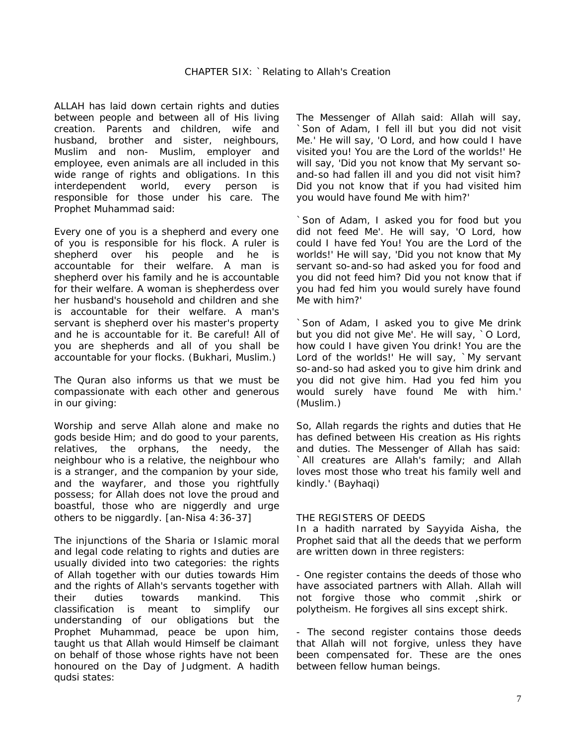ALLAH has laid down certain rights and duties between people and between all of His living creation. Parents and children, wife and husband, brother and sister, neighbours, Muslim and non- Muslim, employer and employee, even animals are all included in this wide range of rights and obligations. In this interdependent world, every person is responsible for those under his care. The Prophet Muhammad said:

Every one of you is a shepherd and every one of you is responsible for his flock. A ruler is shepherd over his people and he is accountable for their welfare. A man is shepherd over his family and he is accountable for their welfare. A woman is shepherdess over her husband's household and children and she is accountable for their welfare. A man's servant is shepherd over his master's property and he is accountable for it. Be careful! All of you are shepherds and all of you shall be accountable for your flocks. (Bukhari, Muslim.)

The Quran also informs us that we must be compassionate with each other and generous in our giving:

Worship and serve Allah alone and make no gods beside Him; and do good to your parents, relatives, the orphans, the needy, the neighbour who is a relative, the neighbour who is a stranger, and the companion by your side, and the wayfarer, and those you rightfully possess; for Allah does not love the proud and boastful, those who are niggerdly and urge others to be niggardly. [an-Nisa 4:36-37]

The injunctions of the Sharia or Islamic moral and legal code relating to rights and duties are usually divided into two categories: the rights of Allah together with our duties towards Him and the rights of Allah's servants together with their duties towards mankind. This classification is meant to simplify our understanding of our obligations but the Prophet Muhammad, peace be upon him, taught us that Allah would Himself be claimant on behalf of those whose rights have not been honoured on the Day of Judgment. A hadith qudsi states:

The Messenger of Allah said: Allah will say, `Son of Adam, I fell ill but you did not visit Me.' He will say, 'O Lord, and how could I have visited you! You are the Lord of the worlds!' He will say, 'Did you not know that My servant soand-so had fallen ill and you did not visit him? Did you not know that if you had visited him you would have found Me with him?'

`Son of Adam, I asked you for food but you did not feed Me'. He will say, 'O Lord, how could I have fed You! You are the Lord of the worlds!' He will say, 'Did you not know that My servant so-and-so had asked you for food and you did not feed him? Did you not know that if you had fed him you would surely have found Me with him?'

`Son of Adam, I asked you to give Me drink but you did not give Me'. He will say, `O Lord, how could I have given You drink! You are the Lord of the worlds!' He will say, `My servant so-and-so had asked you to give him drink and you did not give him. Had you fed him you would surely have found Me with him.' (Muslim.)

So, Allah regards the rights and duties that He has defined between His creation as His rights and duties. The Messenger of Allah has said: `All creatures are Allah's family; and Allah loves most those who treat his family well and kindly.' (Bayhaqi)

# THE REGISTERS OF DEEDS

In a hadith narrated by Sayyida Aisha, the Prophet said that all the deeds that we perform are written down in three registers:

- One register contains the deeds of those who have associated partners with Allah. Allah will not forgive those who commit ,shirk or polytheism. He forgives all sins except shirk.

- The second register contains those deeds that Allah will not forgive, unless they have been compensated for. These are the ones between fellow human beings.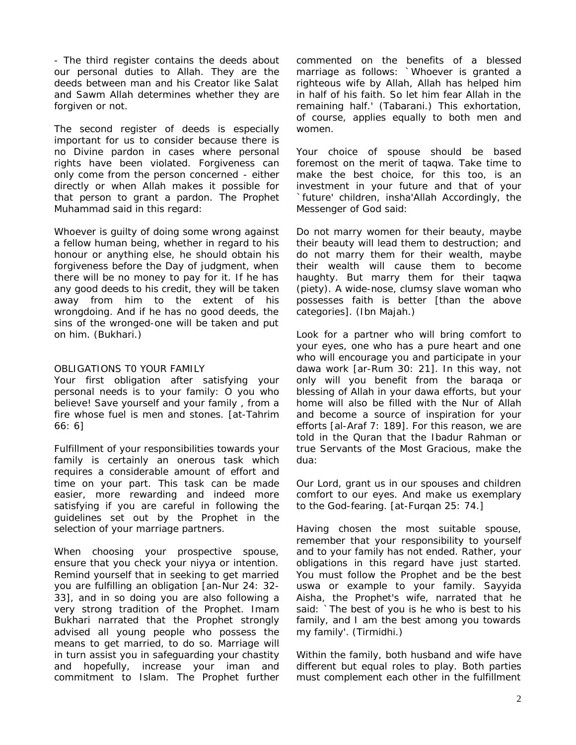- The third register contains the deeds about our personal duties to Allah. They are the deeds between man and his Creator like Salat and Sawm Allah determines whether they are forgiven or not.

The second register of deeds is especially important for us to consider because there is no Divine pardon in cases where personal rights have been violated. Forgiveness can only come from the person concerned - either directly or when Allah makes it possible for that person to grant a pardon. The Prophet Muhammad said in this regard:

Whoever is guilty of doing some wrong against a fellow human being, whether in regard to his honour or anything else, he should obtain his forgiveness before the Day of judgment, when there will be no money to pay for it. If he has any good deeds to his credit, they will be taken away from him to the extent of his wrongdoing. And if he has no good deeds, the sins of the wronged-one will be taken and put on him. (Bukhari.)

# OBLIGATIONS T0 YOUR FAMILY

Your first obligation after satisfying your personal needs is to your family: O you who believe! Save yourself and your family , from a fire whose fuel is men and stones. [at-Tahrim 66: 6]

Fulfillment of your responsibilities towards your family is certainly an onerous task which requires a considerable amount of effort and time on your part. This task can be made easier, more rewarding and indeed more satisfying if you are careful in following the guidelines set out by the Prophet in the selection of your marriage partners.

When choosing your prospective spouse, ensure that you check your niyya or intention. Remind yourself that in seeking to get married you are fulfilling an obligation [an-Nur 24: 32- 33], and in so doing you are also following a very strong tradition of the Prophet. Imam Bukhari narrated that the Prophet strongly advised all young people who possess the means to get married, to do so. Marriage will in turn assist you in safeguarding your chastity and hopefully, increase your iman and commitment to Islam. The Prophet further

commented on the benefits of a blessed marriage as follows: `Whoever is granted a righteous wife by Allah, Allah has helped him in half of his faith. So let him fear Allah in the remaining half.' (Tabarani.) This exhortation, of course, applies equally to both men and women.

Your choice of spouse should be based foremost on the merit of taqwa. Take time to make the best choice, for this too, is an investment in your future and that of your `future' children, insha'Allah Accordingly, the Messenger of God said:

Do not marry women for their beauty, maybe their beauty will lead them to destruction; and do not marry them for their wealth, maybe their wealth will cause them to become haughty. But marry them for their taqwa (piety). A wide-nose, clumsy slave woman who possesses faith is better [than the above categories]. (Ibn Majah.)

Look for a partner who will bring comfort to your eyes, one who has a pure heart and one who will encourage you and participate in your dawa work [ar-Rum 30: 21]. In this way, not only will you benefit from the baraqa or blessing of Allah in your dawa efforts, but your home will also be filled with the Nur of Allah and become a source of inspiration for your efforts [al-Araf 7: 189]. For this reason, we are told in the Quran that the Ibadur Rahman or true Servants of the Most Gracious, make the dua:

Our Lord, grant us in our spouses and children comfort to our eyes. And make us exemplary to the God-fearing. [at-Furqan 25: 74.]

Having chosen the most suitable spouse, remember that your responsibility to yourself and to your family has not ended. Rather, your obligations in this regard have just started. You must follow the Prophet and be the best uswa or example to your family. Sayyida Aisha, the Prophet's wife, narrated that he said: `The best of you is he who is best to his family, and I am the best among you towards my family'. (Tirmidhi.)

Within the family, both husband and wife have different but equal roles to play. Both parties must complement each other in the fulfillment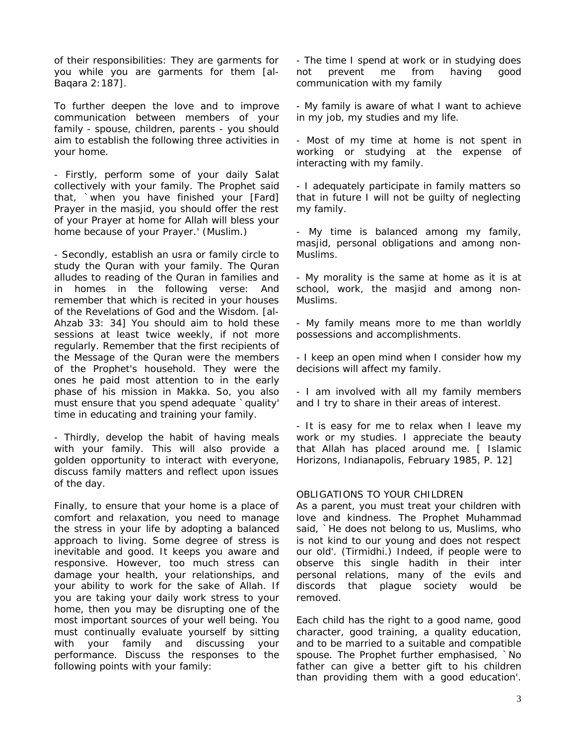of their responsibilities: They are garments for you while you are garments for them [al-Baqara 2:187].

To further deepen the love and to improve communication between members of your family - spouse, children, parents - you should aim to establish the following three activities in your home.

- Firstly, perform some of your daily Salat collectively with your family. The Prophet said that, `when you have finished your [Fard] Prayer in the masjid, you should offer the rest of your Prayer at home for Allah will bless your home because of your Prayer.' (Muslim.)

- Secondly, establish an usra or family circle to study the Quran with your family. The Quran alludes to reading of the Quran in families and in homes in the following verse: And remember that which is recited in your houses of the Revelations of God and the Wisdom. [al-Ahzab 33: 34] You should aim to hold these sessions at least twice weekly, if not more regularly. Remember that the first recipients of the Message of the Quran were the members of the Prophet's household. They were the ones he paid most attention to in the early phase of his mission in Makka. So, you also must ensure that you spend adequate `quality' time in educating and training your family.

- Thirdly, develop the habit of having meals with your family. This will also provide a golden opportunity to interact with everyone, discuss family matters and reflect upon issues of the day.

Finally, to ensure that your home is a place of comfort and relaxation, you need to manage the stress in your life by adopting a balanced approach to living. Some degree of stress is inevitable and good. It keeps you aware and responsive. However, too much stress can damage your health, your relationships, and your ability to work for the sake of Allah. If you are taking your daily work stress to your home, then you may be disrupting one of the most important sources of your well being. You must continually evaluate yourself by sitting with your family and discussing your performance. Discuss the responses to the following points with your family:

- The time I spend at work or in studying does not prevent me from having good communication with my family

- My family is aware of what I want to achieve in my job, my studies and my life.

- Most of my time at home is not spent in working or studying at the expense of interacting with my family.

- I adequately participate in family matters so that in future I will not be guilty of neglecting my family.

- My time is balanced among my family, masjid, personal obligations and among non-Muslims.

- My morality is the same at home as it is at school, work, the masjid and among non-Muslims.

- My family means more to me than worldly possessions and accomplishments.

- I keep an open mind when I consider how my decisions will affect my family.

- I am involved with all my family members and I try to share in their areas of interest.

- It is easy for me to relax when I leave my work or my studies. I appreciate the beauty that Allah has placed around me. [ Islamic Horizons, Indianapolis, February 1985, P. 12]

# OBLIGATIONS TO YOUR CHILDREN

As a parent, you must treat your children with love and kindness. The Prophet Muhammad said, `He does not belong to us, Muslims, who is not kind to our young and does not respect our old'. (Tirmidhi.) Indeed, if people were to observe this single hadith in their inter personal relations, many of the evils and discords that plague society would be removed.

Each child has the right to a good name, good character, good training, a quality education, and to be married to a suitable and compatible spouse. The Prophet further emphasised, `No father can give a better gift to his children than providing them with a good education'.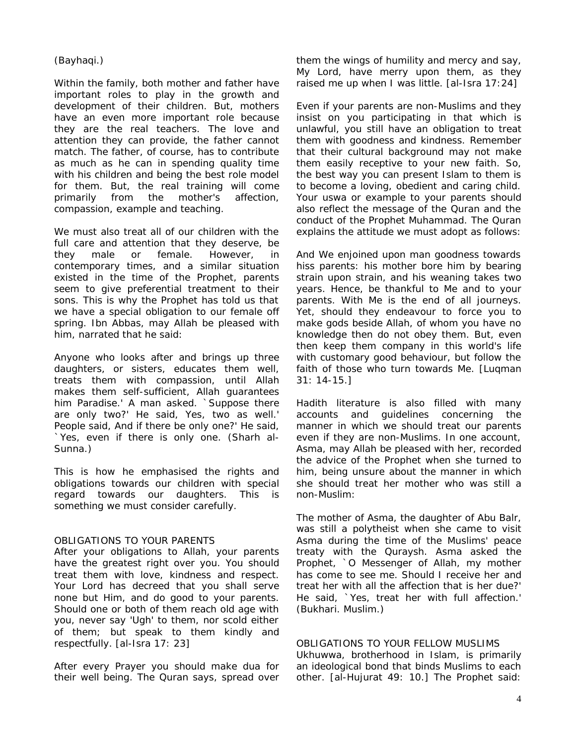# (Bayhaqi.)

Within the family, both mother and father have important roles to play in the growth and development of their children. But, mothers have an even more important role because they are the real teachers. The love and attention they can provide, the father cannot match. The father, of course, has to contribute as much as he can in spending quality time with his children and being the best role model for them. But, the real training will come primarily from the mother's affection, compassion, example and teaching.

We must also treat all of our children with the full care and attention that they deserve, be they male or female. However, in contemporary times, and a similar situation existed in the time of the Prophet, parents seem to give preferential treatment to their sons. This is why the Prophet has told us that we have a special obligation to our female off spring. Ibn Abbas, may Allah be pleased with him, narrated that he said:

Anyone who looks after and brings up three daughters, or sisters, educates them well, treats them with compassion, until Allah makes them self-sufficient, Allah guarantees him Paradise.' A man asked. `Suppose there are only two?' He said, Yes, two as well.' People said, And if there be only one?' He said, `Yes, even if there is only one. (Sharh al-Sunna.)

This is how he emphasised the rights and obligations towards our children with special regard towards our daughters. This is something we must consider carefully.

# OBLIGATIONS TO YOUR PARENTS

After your obligations to Allah, your parents have the greatest right over you. You should treat them with love, kindness and respect. Your Lord has decreed that you shall serve none but Him, and do good to your parents. Should one or both of them reach old age with you, never say 'Ugh' to them, nor scold either of them; but speak to them kindly and respectfully. [al-Isra 17: 23]

After every Prayer you should make dua for their well being. The Quran says, spread over them the wings of humility and mercy and say, My Lord, have merry upon them, as they raised me up when I was little. [al-Isra 17:24]

Even if your parents are non-Muslims and they insist on you participating in that which is unlawful, you still have an obligation to treat them with goodness and kindness. Remember that their cultural background may not make them easily receptive to your new faith. So, the best way you can present Islam to them is to become a loving, obedient and caring child. Your uswa or example to your parents should also reflect the message of the Quran and the conduct of the Prophet Muhammad. The Quran explains the attitude we must adopt as follows:

And We enjoined upon man goodness towards hiss parents: his mother bore him by bearing strain upon strain, and his weaning takes two years. Hence, be thankful to Me and to your parents. With Me is the end of all journeys. Yet, should they endeavour to force you to make gods beside Allah, of whom you have no knowledge then do not obey them. But, even then keep them company in this world's life with customary good behaviour, but follow the faith of those who turn towards Me. [Luqman 31: 14-15.]

Hadith literature is also filled with many accounts and guidelines concerning the manner in which we should treat our parents even if they are non-Muslims. In one account, Asma, may Allah be pleased with her, recorded the advice of the Prophet when she turned to him, being unsure about the manner in which she should treat her mother who was still a non-Muslim:

The mother of Asma, the daughter of Abu Balr, was still a polytheist when she came to visit Asma during the time of the Muslims' peace treaty with the Quraysh. Asma asked the Prophet, `O Messenger of Allah, my mother has come to see me. Should I receive her and treat her with all the affection that is her due?' He said, `Yes, treat her with full affection.' (Bukhari. Muslim.)

# OBLIGATIONS TO YOUR FELLOW MUSLIMS

Ukhuwwa, brotherhood in Islam, is primarily an ideological bond that binds Muslims to each other. [al-Hujurat 49: 10.] The Prophet said: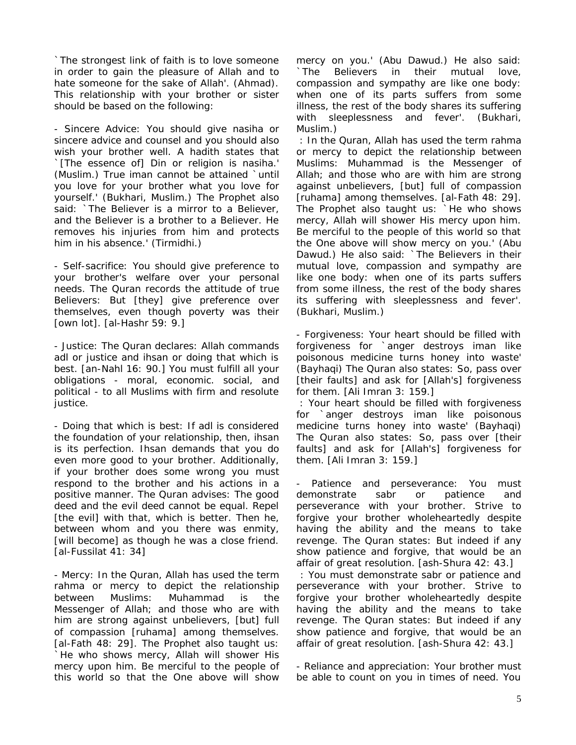`The strongest link of faith is to love someone in order to gain the pleasure of Allah and to hate someone for the sake of Allah'. (Ahmad). This relationship with your brother or sister should be based on the following:

- Sincere Advice: You should give nasiha or sincere advice and counsel and you should also wish your brother well. A hadith states that `[The essence of] Din or religion is nasiha.' (Muslim.) True iman cannot be attained `until you love for your brother what you love for yourself.' (Bukhari, Muslim.) The Prophet also said: `The Believer is a mirror to a Believer, and the Believer is a brother to a Believer. He removes his injuries from him and protects him in his absence.' (Tirmidhi.)

- Self-sacrifice: You should give preference to your brother's welfare over your personal needs. The Quran records the attitude of true Believers: But [they] give preference over themselves, even though poverty was their [own lot]. [al-Hashr 59: 9.]

- Justice: The Quran declares: Allah commands adl or justice and ihsan or doing that which is best. [an-Nahl 16: 90.] You must fulfill all your obligations - moral, economic. social, and political - to all Muslims with firm and resolute justice.

- Doing that which is best: If adl is considered the foundation of your relationship, then, ihsan is its perfection. Ihsan demands that you do even more good to your brother. Additionally, if your brother does some wrong you must respond to the brother and his actions in a positive manner. The Quran advises: The good deed and the evil deed cannot be equal. Repel [the evil] with that, which is better. Then he, between whom and you there was enmity, [will become] as though he was a close friend. [al-Fussilat 41: 34]

- Mercy: In the Quran, Allah has used the term rahma or mercy to depict the relationship between Muslims: Muhammad is the Messenger of Allah; and those who are with him are strong against unbelievers, [but] full of compassion [ruhama] among themselves. [al-Fath 48: 29]. The Prophet also taught us: `He who shows mercy, Allah will shower His mercy upon him. Be merciful to the people of this world so that the One above will show mercy on you.' (Abu Dawud.) He also said: `The Believers in their mutual love, compassion and sympathy are like one body: when one of its parts suffers from some illness, the rest of the body shares its suffering with sleeplessness and fever'. (Bukhari, Muslim.)

 : In the Quran, Allah has used the term rahma or mercy to depict the relationship between Muslims: Muhammad is the Messenger of Allah; and those who are with him are strong against unbelievers, [but] full of compassion [ruhama] among themselves. [al-Fath 48: 29]. The Prophet also taught us: `He who shows mercy, Allah will shower His mercy upon him. Be merciful to the people of this world so that the One above will show mercy on you.' (Abu Dawud.) He also said: `The Believers in their mutual love, compassion and sympathy are like one body: when one of its parts suffers from some illness, the rest of the body shares its suffering with sleeplessness and fever'. (Bukhari, Muslim.)

- Forgiveness: Your heart should be filled with forgiveness for `anger destroys iman like poisonous medicine turns honey into waste' (Bayhaqi) The Quran also states: So, pass over [their faults] and ask for [Allah's] forgiveness for them. [Ali Imran 3: 159.]

 : Your heart should be filled with forgiveness for `anger destroys iman like poisonous medicine turns honey into waste' (Bayhaqi) The Quran also states: So, pass over [their faults] and ask for [Allah's] forgiveness for them. [Ali Imran 3: 159.]

Patience and perseverance: You must demonstrate sabr or patience and perseverance with your brother. Strive to forgive your brother wholeheartedly despite having the ability and the means to take revenge. The Quran states: But indeed if any show patience and forgive, that would be an affair of great resolution. [ash-Shura 42: 43.] : You must demonstrate sabr or patience and perseverance with your brother. Strive to forgive your brother wholeheartedly despite having the ability and the means to take revenge. The Quran states: But indeed if any show patience and forgive, that would be an affair of great resolution. [ash-Shura 42: 43.]

- Reliance and appreciation: Your brother must be able to count on you in times of need. You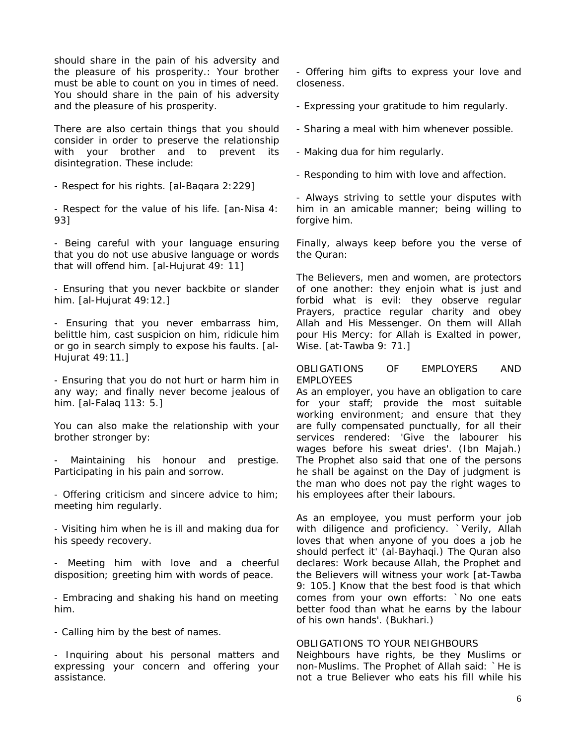should share in the pain of his adversity and the pleasure of his prosperity.: Your brother must be able to count on you in times of need. You should share in the pain of his adversity and the pleasure of his prosperity.

There are also certain things that you should consider in order to preserve the relationship with your brother and to prevent its disintegration. These include:

- Respect for his rights. [al-Baqara 2:229]

- Respect for the value of his life. [an-Nisa 4: 93]

- Being careful with your language ensuring that you do not use abusive language or words that will offend him. [al-Hujurat 49: 11]

- Ensuring that you never backbite or slander him. [al-Hujurat 49:12.]

- Ensuring that you never embarrass him, belittle him, cast suspicion on him, ridicule him or go in search simply to expose his faults. [al-Hujurat 49:11.]

- Ensuring that you do not hurt or harm him in any way; and finally never become jealous of him. [al-Falaq 113: 5.]

You can also make the relationship with your brother stronger by:

Maintaining his honour and prestige. Participating in his pain and sorrow.

- Offering criticism and sincere advice to him; meeting him regularly.

- Visiting him when he is ill and making dua for his speedy recovery.

- Meeting him with love and a cheerful disposition; greeting him with words of peace.

- Embracing and shaking his hand on meeting him.

- Calling him by the best of names.

- Inquiring about his personal matters and expressing your concern and offering your assistance.

- Offering him gifts to express your love and closeness.

- Expressing your gratitude to him regularly.

- Sharing a meal with him whenever possible.

- Making dua for him regularly.

- Responding to him with love and affection.

- Always striving to settle your disputes with him in an amicable manner; being willing to forgive him.

Finally, always keep before you the verse of the Quran:

The Believers, men and women, are protectors of one another: they enjoin what is just and forbid what is evil: they observe regular Prayers, practice regular charity and obey Allah and His Messenger. On them will Allah pour His Mercy: for Allah is Exalted in power, Wise. [at-Tawba 9: 71.]

OBLIGATIONS OF EMPLOYERS AND EMPLOYEES

As an employer, you have an obligation to care for your staff; provide the most suitable working environment; and ensure that they are fully compensated punctually, for all their services rendered: 'Give the labourer his wages before his sweat dries'. (Ibn Majah.) The Prophet also said that one of the persons he shall be against on the Day of judgment is the man who does not pay the right wages to his employees after their labours.

As an employee, you must perform your job with diligence and proficiency. `Verily, Allah loves that when anyone of you does a job he should perfect it' (al-Bayhaqi.) The Quran also declares: Work because Allah, the Prophet and the Believers will witness your work [at-Tawba 9: 105.] Know that the best food is that which comes from your own efforts: `No one eats better food than what he earns by the labour of his own hands'. (Bukhari.)

#### OBLIGATIONS TO YOUR NEIGHBOURS

Neighbours have rights, be they Muslims or non-Muslims. The Prophet of Allah said: `He is not a true Believer who eats his fill while his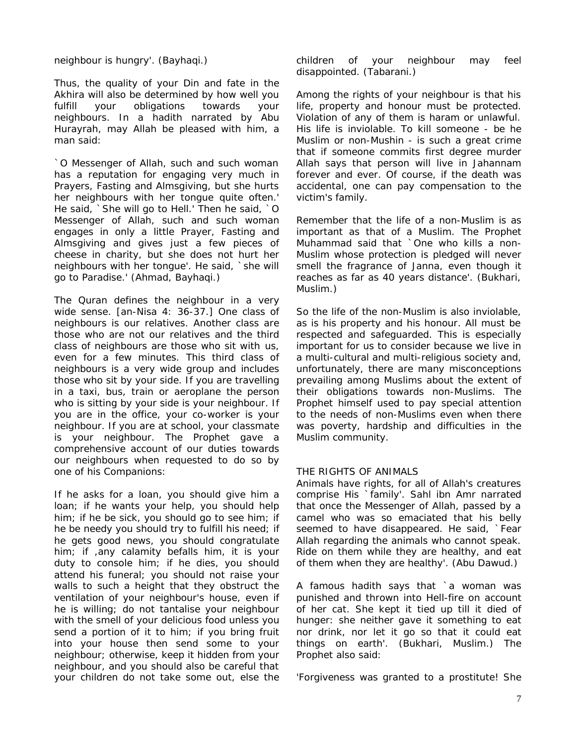neighbour is hungry'. (Bayhaqi.)

Thus, the quality of your Din and fate in the Akhira will also be determined by how well you fulfill your obligations towards your neighbours. In a hadith narrated by Abu Hurayrah, may Allah be pleased with him, a man said:

`O Messenger of Allah, such and such woman has a reputation for engaging very much in Prayers, Fasting and Almsgiving, but she hurts her neighbours with her tongue quite often.' He said, `She will go to Hell.' Then he said, `O Messenger of Allah, such and such woman engages in only a little Prayer, Fasting and Almsgiving and gives just a few pieces of cheese in charity, but she does not hurt her neighbours with her tongue'. He said, `she will go to Paradise.' (Ahmad, Bayhaqi.)

The Quran defines the neighbour in a very wide sense. [an-Nisa 4: 36-37.] One class of neighbours is our relatives. Another class are those who are not our relatives and the third class of neighbours are those who sit with us, even for a few minutes. This third class of neighbours is a very wide group and includes those who sit by your side. If you are travelling in a taxi, bus, train or aeroplane the person who is sitting by your side is your neighbour. If you are in the office, your co-worker is your neighbour. If you are at school, your classmate is your neighbour. The Prophet gave a comprehensive account of our duties towards our neighbours when requested to do so by one of his Companions:

If he asks for a loan, you should give him a loan; if he wants your help, you should help him; if he be sick, you should go to see him; if he be needy you should try to fulfill his need; if he gets good news, you should congratulate him; if ,any calamity befalls him, it is your duty to console him; if he dies, you should attend his funeral; you should not raise your walls to such a height that they obstruct the ventilation of your neighbour's house, even if he is willing; do not tantalise your neighbour with the smell of your delicious food unless you send a portion of it to him; if you bring fruit into your house then send some to your neighbour; otherwise, keep it hidden from your neighbour, and you should also be careful that your children do not take some out, else the children of your neighbour may feel disappointed. (Tabarani.)

Among the rights of your neighbour is that his life, property and honour must be protected. Violation of any of them is haram or unlawful. His life is inviolable. To kill someone - be he Muslim or non-Mushin - is such a great crime that if someone commits first degree murder Allah says that person will live in Jahannam forever and ever. Of course, if the death was accidental, one can pay compensation to the victim's family.

Remember that the life of a non-Muslim is as important as that of a Muslim. The Prophet Muhammad said that `One who kills a non-Muslim whose protection is pledged will never smell the fragrance of Janna, even though it reaches as far as 40 years distance'. (Bukhari, Muslim.)

So the life of the non-Muslim is also inviolable, as is his property and his honour. All must be respected and safeguarded. This is especially important for us to consider because we live in a multi-cultural and multi-religious society and, unfortunately, there are many misconceptions prevailing among Muslims about the extent of their obligations towards non-Muslims. The Prophet himself used to pay special attention to the needs of non-Muslims even when there was poverty, hardship and difficulties in the Muslim community.

# THE RIGHTS OF ANIMALS

Animals have rights, for all of Allah's creatures comprise His `family'. Sahl ibn Amr narrated that once the Messenger of Allah, passed by a camel who was so emaciated that his belly seemed to have disappeared. He said, `Fear Allah regarding the animals who cannot speak. Ride on them while they are healthy, and eat of them when they are healthy'. (Abu Dawud.)

A famous hadith says that `a woman was punished and thrown into Hell-fire on account of her cat. She kept it tied up till it died of hunger: she neither gave it something to eat nor drink, nor let it go so that it could eat things on earth'. (Bukhari, Muslim.) The Prophet also said:

'Forgiveness was granted to a prostitute! She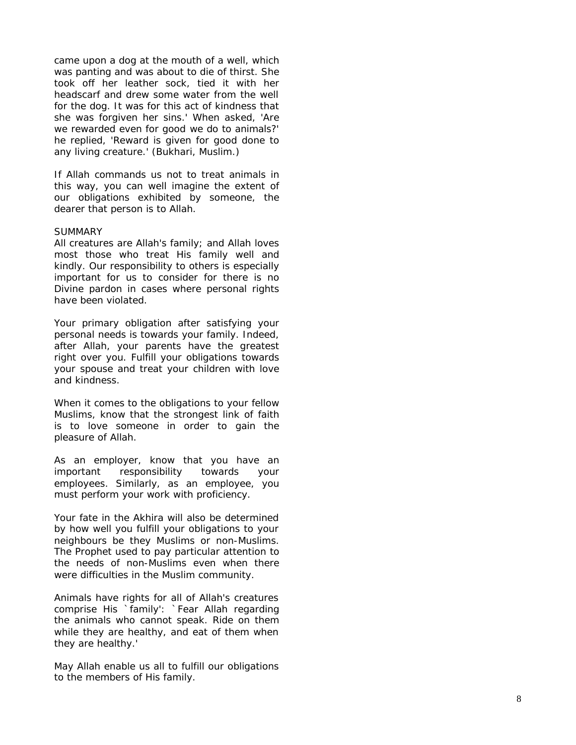came upon a dog at the mouth of a well, which was panting and was about to die of thirst. She took off her leather sock, tied it with her headscarf and drew some water from the well for the dog. It was for this act of kindness that she was forgiven her sins.' When asked, 'Are we rewarded even for good we do to animals?' he replied, 'Reward is given for good done to any living creature.' (Bukhari, Muslim.)

If Allah commands us not to treat animals in this way, you can well imagine the extent of our obligations exhibited by someone, the dearer that person is to Allah.

#### **SUMMARY**

All creatures are Allah's family; and Allah loves most those who treat His family well and kindly. Our responsibility to others is especially important for us to consider for there is no Divine pardon in cases where personal rights have been violated.

Your primary obligation after satisfying your personal needs is towards your family. Indeed, after Allah, your parents have the greatest right over you. Fulfill your obligations towards your spouse and treat your children with love and kindness.

When it comes to the obligations to your fellow Muslims, know that the strongest link of faith is to love someone in order to gain the pleasure of Allah.

As an employer, know that you have an important responsibility towards your employees. Similarly, as an employee, you must perform your work with proficiency.

Your fate in the Akhira will also be determined by how well you fulfill your obligations to your neighbours be they Muslims or non -Muslims. The Prophet used to pay particular attention to the needs of non -Muslims even when there were difficulties in the Muslim community.

Animals have rights for all of Allah's creatures comprise His `family': `Fear Allah regarding the animals who cannot speak. Ride on them while they are healthy, and eat of them when they are healthy.'

May Allah enable us all to fulfill our obligations to the members of His family.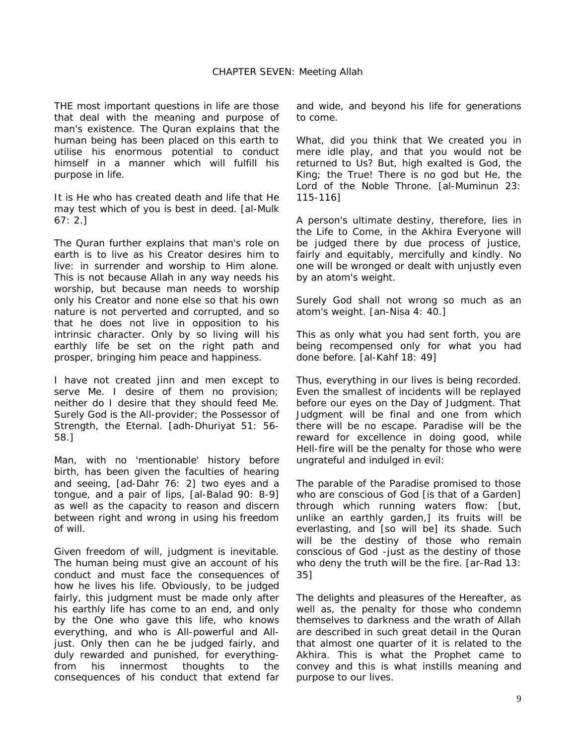#### CHAPTER SEVEN: Meeting Allah

THE most important questions in life are those that deal with the meaning and purpose of man's existence. The Quran explains that the human being has been placed on this earth to utilise his enormous potential to conduct himself in a manner which will fulfill his purpose in life.

It is He who has created death and life that He may test which of you is best in deed. [al-Mulk 67: 2.]

The Quran further explains that man's role on earth is to live as his Creator desires him to live: in surrender and worship to Him alone. This is not because Allah in any way needs his worship, but because man needs to worship only his Creator and none else so that his own nature is not perverted and corrupted, and so that he does not live in opposition to his intrinsic character. Only by so living will his earthly life be set on the right path and prosper, bringing him peace and happiness.

I have not created jinn and men except to serve Me. I desire of them no provision; neither do I desire that they should feed Me. Surely God is the All-provider; the Possessor of Strength, the Eternal. [adh-Dhuriyat 51: 56- 58.]

Man, with no 'mentionable' history before birth, has been given the faculties of hearing and seeing, [ad-Dahr 76: 2] two eyes and a tongue, and a pair of lips, [al-Balad 90: 8-9] as well as the capacity to reason and discern between right and wrong in using his freedom of will.

Given freedom of will, judgment is inevitable. The human being must give an account of his conduct and must face the consequences of how he lives his life. Obviously, to be judged fairly, this judgment must be made only after his earthly life has come to an end, and only by the One who gave this life, who knows everything, and who is All-powerful and Alljust. Only then can he be judged fairly, and duly rewarded and punished, for everythingfrom his innermost thoughts to the consequences of his conduct that extend far

and wide, and beyond his life for generations to come.

What, did you think that We created you in mere idle play, and that you would not be returned to Us? But, high exalted is God, the King; the True! There is no god but He, the Lord of the Noble Throne. [al-Muminun 23: 115-116]

A person's ultimate destiny, therefore, lies in the Life to Come, in the Akhira Everyone will be judged there by due process of justice, fairly and equitably, mercifully and kindly. No one will be wronged or dealt with unjustly even by an atom's weight.

Surely God shall not wrong so much as an atom's weight. [an-Nisa 4: 40.]

This as only what you had sent forth, you are being recompensed only for what you had done before. [al-Kahf 18: 49]

Thus, everything in our lives is being recorded. Even the smallest of incidents will be replayed before our eyes on the Day of Judgment. That Judgment will be final and one from which there will be no escape. Paradise will be the reward for excellence in doing good, while Hell-fire will be the penalty for those who were ungrateful and indulged in evil:

The parable of the Paradise promised to those who are conscious of God [is that of a Garden] through which running waters flow: [but, unlike an earthly garden,] its fruits will be everlasting, and [so will be] its shade. Such will be the destiny of those who remain conscious of God -just as the destiny of those who deny the truth will be the fire. [ar-Rad 13: 35]

The delights and pleasures of the Hereafter, as well as, the penalty for those who condemn themselves to darkness and the wrath of Allah are described in such great detail in the Quran that almost one quarter of it is related to the Akhira. This is what the Prophet came to convey and this is what instills meaning and purpose to our lives.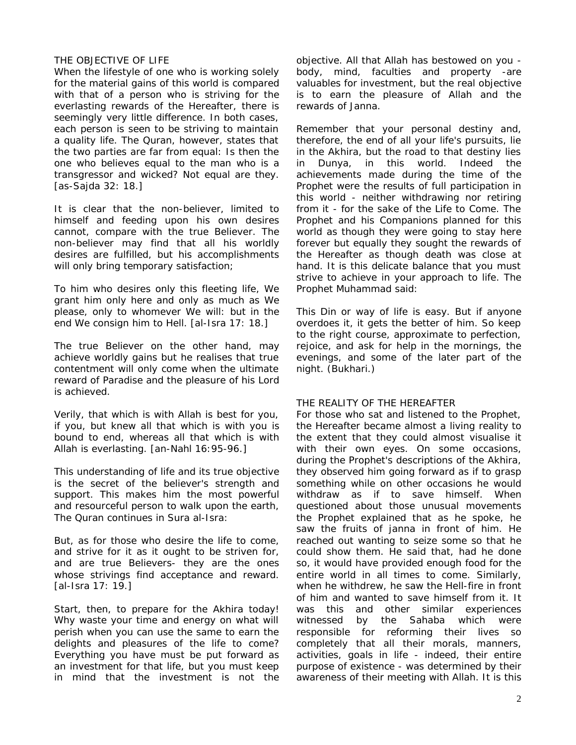# THE OBJECTIVE OF LIFE

When the lifestyle of one who is working solely for the material gains of this world is compared with that of a person who is striving for the everlasting rewards of the Hereafter, there is seemingly very little difference. In both cases, each person is seen to be striving to maintain a quality life. The Quran, however, states that the two parties are far from equal: Is then the one who believes equal to the man who is a transgressor and wicked? Not equal are they. [as-Sajda 32: 18.]

It is clear that the non-believer, limited to himself and feeding upon his own desires cannot, compare with the true Believer. The non-believer may find that all his worldly desires are fulfilled, but his accomplishments will only bring temporary satisfaction;

To him who desires only this fleeting life, We grant him only here and only as much as We please, only to whomever We will: but in the end We consign him to Hell. [al-Isra 17: 18.]

The true Believer on the other hand, may achieve worldly gains but he realises that true contentment will only come when the ultimate reward of Paradise and the pleasure of his Lord is achieved.

Verily, that which is with Allah is best for you, if you, but knew all that which is with you is bound to end, whereas all that which is with Allah is everlasting. [an-Nahl 16:95-96.]

This understanding of life and its true objective is the secret of the believer's strength and support. This makes him the most powerful and resourceful person to walk upon the earth, The Quran continues in Sura al-Isra:

But, as for those who desire the life to come, and strive for it as it ought to be striven for, and are true Believers- they are the ones whose strivings find acceptance and reward. [al-Isra 17: 19.]

Start, then, to prepare for the Akhira today! Why waste your time and energy on what will perish when you can use the same to earn the delights and pleasures of the life to come? Everything you have must be put forward as an investment for that life, but you must keep in mind that the investment is not the objective. All that Allah has bestowed on you body, mind, faculties and property -are valuables for investment, but the real objective is to earn the pleasure of Allah and the rewards of Janna.

Remember that your personal destiny and, therefore, the end of all your life's pursuits, lie in the Akhira, but the road to that destiny lies in Dunya, in this world. Indeed the achievements made during the time of the Prophet were the results of full participation in this world - neither withdrawing nor retiring from it - for the sake of the Life to Come. The Prophet and his Companions planned for this world as though they were going to stay here forever but equally they sought the rewards of the Hereafter as though death was close at hand. It is this delicate balance that you must strive to achieve in your approach to life. The Prophet Muhammad said:

This Din or way of life is easy. But if anyone overdoes it, it gets the better of him. So keep to the right course, approximate to perfection, rejoice, and ask for help in the mornings, the evenings, and some of the later part of the night. (Bukhari.)

# THE REALITY OF THE HEREAFTER

For those who sat and listened to the Prophet, the Hereafter became almost a living reality to the extent that they could almost visualise it with their own eyes. On some occasions, during the Prophet's descriptions of the Akhira, they observed him going forward as if to grasp something while on other occasions he would withdraw as if to save himself. When questioned about those unusual movements the Prophet explained that as he spoke, he saw the fruits of janna in front of him. He reached out wanting to seize some so that he could show them. He said that, had he done so, it would have provided enough food for the entire world in all times to come. Similarly, when he withdrew, he saw the Hell-fire in front of him and wanted to save himself from it. It was this and other similar experiences witnessed by the Sahaba which were responsible for reforming their lives so completely that all their morals, manners, activities, goals in life - indeed, their entire purpose of existence - was determined by their awareness of their meeting with Allah. It is this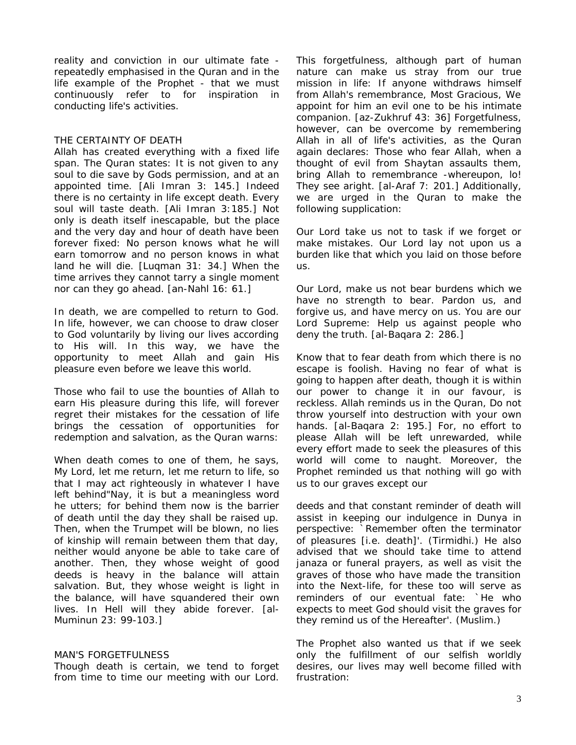reality and conviction in our ultimate fate repeatedly emphasised in the Quran and in the life example of the Prophet - that we must continuously refer to for inspiration in conducting life's activities.

# THE CERTAINTY OF DEATH

Allah has created everything with a fixed life span. The Quran states: It is not given to any soul to die save by Gods permission, and at an appointed time. [Ali Imran 3: 145.] Indeed there is no certainty in life except death. Every soul will taste death. [Ali Imran 3:185.] Not only is death itself inescapable, but the place and the very day and hour of death have been forever fixed: No person knows what he will earn tomorrow and no person knows in what land he will die. [Luqman 31: 34.] When the time arrives they cannot tarry a single moment nor can they go ahead. [an-Nahl 16: 61.]

In death, we are compelled to return to God. In life, however, we can choose to draw closer to God voluntarily by living our lives according to His will. In this way, we have the opportunity to meet Allah and gain His pleasure even before we leave this world.

Those who fail to use the bounties of Allah to earn His pleasure during this life, will forever regret their mistakes for the cessation of life brings the cessation of opportunities for redemption and salvation, as the Quran warns:

When death comes to one of them, he says, My Lord, let me return, let me return to life, so that I may act righteously in whatever I have left behind"Nay, it is but a meaningless word he utters; for behind them now is the barrier of death until the day they shall be raised up. Then, when the Trumpet will be blown, no lies of kinship will remain between them that day, neither would anyone be able to take care of another. Then, they whose weight of good deeds is heavy in the balance will attain salvation. But, they whose weight is light in the balance, will have squandered their own lives. In Hell will they abide forever. [al-Muminun 23: 99-103.]

# MAN'S FORGETFULNESS

Though death is certain, we tend to forget from time to time our meeting with our Lord.

This forgetfulness, although part of human nature can make us stray from our true mission in life: If anyone withdraws himself from Allah's remembrance, Most Gracious, We appoint for him an evil one to be his intimate companion. [az-Zukhruf 43: 36] Forgetfulness, however, can be overcome by remembering Allah in all of life's activities, as the Quran again declares: Those who fear Allah, when a thought of evil from Shaytan assaults them, bring Allah to remembrance -whereupon, lo! They see aright. [al-Araf 7: 201.] Additionally, we are urged in the Quran to make the following supplication:

Our Lord take us not to task if we forget or make mistakes. Our Lord lay not upon us a burden like that which you laid on those before us.

Our Lord, make us not bear burdens which we have no strength to bear. Pardon us, and forgive us, and have mercy on us. You are our Lord Supreme: Help us against people who deny the truth. [al-Baqara 2: 286.]

Know that to fear death from which there is no escape is foolish. Having no fear of what is going to happen after death, though it is within our power to change it in our favour, is reckless. Allah reminds us in the Quran, Do not throw yourself into destruction with your own hands. [al-Baqara 2: 195.] For, no effort to please Allah will be left unrewarded, while every effort made to seek the pleasures of this world will come to naught. Moreover, the Prophet reminded us that nothing will go with us to our graves except our

deeds and that constant reminder of death will assist in keeping our indulgence in Dunya in perspective: `Remember often the terminator of pleasures [i.e. death]'. (Tirmidhi.) He also advised that we should take time to attend janaza or funeral prayers, as well as visit the graves of those who have made the transition into the Next-life, for these too will serve as reminders of our eventual fate: `He who expects to meet God should visit the graves for they remind us of the Hereafter'. (Muslim.)

The Prophet also wanted us that if we seek only the fulfillment of our selfish worldly desires, our lives may well become filled with frustration: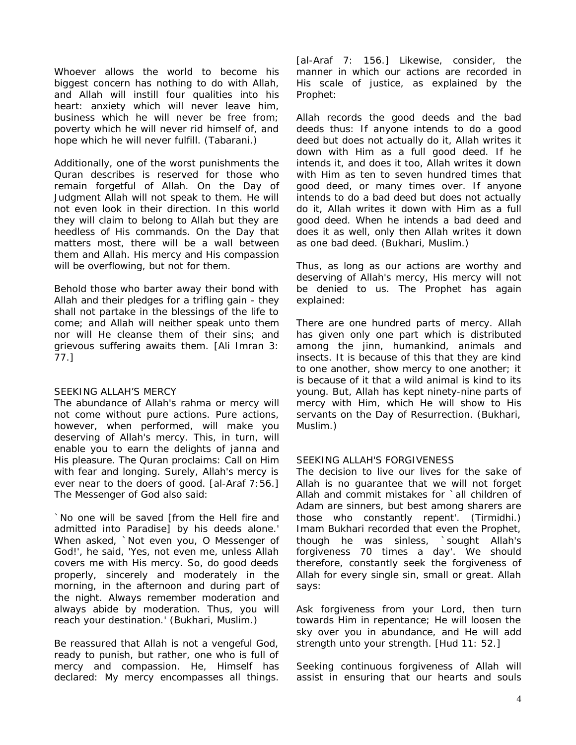Whoever allows the world to become his biggest concern has nothing to do with Allah, and Allah will instill four qualities into his heart: anxiety which will never leave him, business which he will never be free from; poverty which he will never rid himself of, and hope which he will never fulfill. (Tabarani.)

Additionally, one of the worst punishments the Quran describes is reserved for those who remain forgetful of Allah. On the Day of Judgment Allah will not speak to them. He will not even look in their direction. In this world they will claim to belong to Allah but they are heedless of His commands. On the Day that matters most, there will be a wall between them and Allah. His mercy and His compassion will be overflowing, but not for them.

Behold those who barter away their bond with Allah and their pledges for a trifling gain - they shall not partake in the blessings of the life to come; and Allah will neither speak unto them nor will He cleanse them of their sins; and grievous suffering awaits them. [Ali Imran 3: 77.]

# SEEKING ALLAH'S MERCY

The abundance of Allah's rahma or mercy will not come without pure actions. Pure actions, however, when performed, will make you deserving of Allah's mercy. This, in turn, will enable you to earn the delights of janna and His pleasure. The Quran proclaims: Call on Him with fear and longing. Surely, Allah's mercy is ever near to the doers of good. [al-Araf 7:56.] The Messenger of God also said:

`No one will be saved [from the Hell fire and admitted into Paradise] by his deeds alone.' When asked, `Not even you, O Messenger of God!', he said, 'Yes, not even me, unless Allah covers me with His mercy. So, do good deeds properly, sincerely and moderately in the morning, in the afternoon and during part of the night. Always remember moderation and always abide by moderation. Thus, you will reach your destination.' (Bukhari, Muslim.)

Be reassured that Allah is not a vengeful God, ready to punish, but rather, one who is full of mercy and compassion. He, Himself has declared: My mercy encompasses all things.

[al-Araf 7: 156.] Likewise, consider, the manner in which our actions are recorded in His scale of justice, as explained by the Prophet:

Allah records the good deeds and the bad deeds thus: If anyone intends to do a good deed but does not actually do it, Allah writes it down with Him as a full good deed. If he intends it, and does it too, Allah writes it down with Him as ten to seven hundred times that good deed, or many times over. If anyone intends to do a bad deed but does not actually do it, Allah writes it down with Him as a full good deed. When he intends a bad deed and does it as well, only then Allah writes it down as one bad deed. (Bukhari, Muslim.)

Thus, as long as our actions are worthy and deserving of Allah's mercy, His mercy will not be denied to us. The Prophet has again explained:

There are one hundred parts of mercy. Allah has given only one part which is distributed among the jinn, humankind, animals and insects. It is because of this that they are kind to one another, show mercy to one another; it is because of it that a wild animal is kind to its young. But, Allah has kept ninety-nine parts of mercy with Him, which He will show to His servants on the Day of Resurrection. (Bukhari, Muslim.)

# SEEKING ALLAH'S FORGIVENESS

The decision to live our lives for the sake of Allah is no guarantee that we will not forget Allah and commit mistakes for `all children of Adam are sinners, but best among sharers are those who constantly repent'. (Tirmidhi.) Imam Bukhari recorded that even the Prophet, though he was sinless, `sought Allah's forgiveness 70 times a day'. We should therefore, constantly seek the forgiveness of Allah for every single sin, small or great. Allah says:

Ask forgiveness from your Lord, then turn towards Him in repentance; He will loosen the sky over you in abundance, and He will add strength unto your strength. [Hud 11: 52.]

Seeking continuous forgiveness of Allah will assist in ensuring that our hearts and souls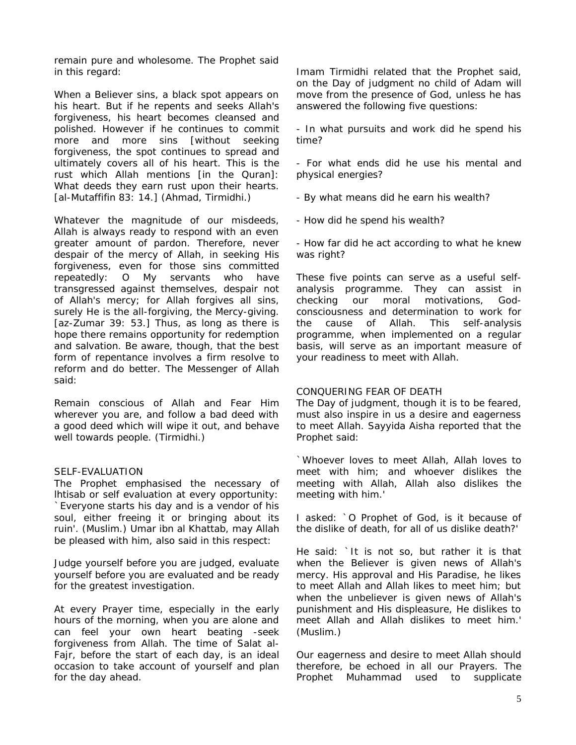remain pure and wholesome. The Prophet said in this regard:

When a Believer sins, a black spot appears on his heart. But if he repents and seeks Allah's forgiveness, his heart becomes cleansed and polished. However if he continues to commit more and more sins [without seeking forgiveness, the spot continues to spread and ultimately covers all of his heart. This is the rust which Allah mentions [in the Quran]: What deeds they earn rust upon their hearts. [al-Mutaffifin 83: 14.] (Ahmad, Tirmidhi.)

Whatever the magnitude of our misdeeds, Allah is always ready to respond with an even greater amount of pardon. Therefore, never despair of the mercy of Allah, in seeking His forgiveness, even for those sins committed repeatedly: O My servants who have transgressed against themselves, despair not of Allah's mercy; for Allah forgives all sins, surely He is the all-forgiving, the Mercy-giving. [az-Zumar 39: 53.] Thus, as long as there is hope there remains opportunity for redemption and salvation. Be aware, though, that the best form of repentance involves a firm resolve to reform and do better. The Messenger of Allah said:

Remain conscious of Allah and Fear Him wherever you are, and follow a bad deed with a good deed which will wipe it out, and behave well towards people. (Tirmidhi.)

#### SELF-EVALUATION

The Prophet emphasised the necessary of lhtisab or self evaluation at every opportunity: `Everyone starts his day and is a vendor of his soul, either freeing it or bringing about its ruin'. (Muslim.) Umar ibn al Khattab, may Allah be pleased with him, also said in this respect:

Judge yourself before you are judged, evaluate yourself before you are evaluated and be ready for the greatest investigation.

At every Prayer time, especially in the early hours of the morning, when you are alone and can feel your own heart beating -seek forgiveness from Allah. The time of Salat al-Fajr, before the start of each day, is an ideal occasion to take account of yourself and plan for the day ahead.

Imam Tirmidhi related that the Prophet said, on the Day of judgment no child of Adam will move from the presence of God, unless he has answered the following five questions:

- In what pursuits and work did he spend his time?

- For what ends did he use his mental and physical energies?

- By what means did he earn his wealth?

- How did he spend his wealth?

- How far did he act according to what he knew was right?

These five points can serve as a useful selfanalysis programme. They can assist in checking our moral motivations, Godconsciousness and determination to work for the cause of Allah. This self-analysis programme, when implemented on a regular basis, will serve as an important measure of your readiness to meet with Allah.

#### CONQUERING FEAR OF DEATH

The Day of judgment, though it is to be feared, must also inspire in us a desire and eagerness to meet Allah. Sayyida Aisha reported that the Prophet said:

`Whoever loves to meet Allah, Allah loves to meet with him; and whoever dislikes the meeting with Allah, Allah also dislikes the meeting with him.'

I asked: `O Prophet of God, is it because of the dislike of death, for all of us dislike death?'

He said: `It is not so, but rather it is that when the Believer is given news of Allah's mercy. His approval and His Paradise, he likes to meet Allah and Allah likes to meet him; but when the unbeliever is given news of Allah's punishment and His displeasure, He dislikes to meet Allah and Allah dislikes to meet him.' (Muslim.)

Our eagerness and desire to meet Allah should therefore, be echoed in all our Prayers. The Prophet Muhammad used to supplicate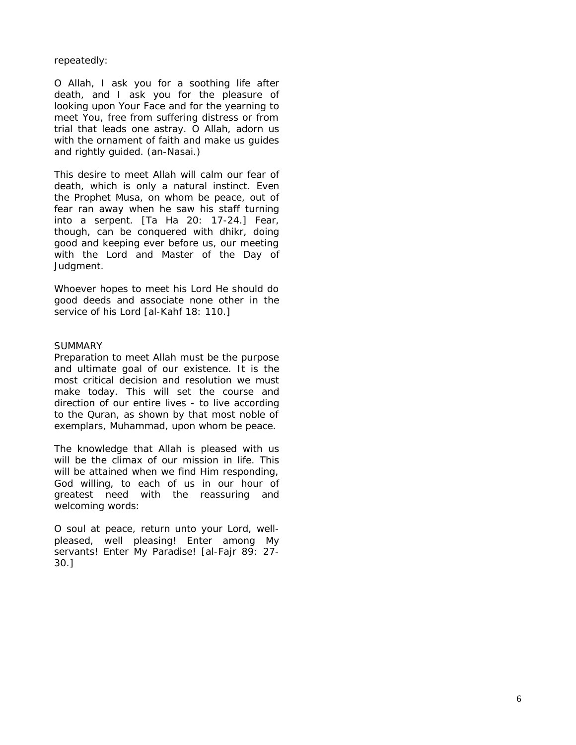#### repeatedly:

O Allah, I ask you for a soothing life after death, and I ask you for the pleasure of looking upon Your Face and for the yearning to meet You, free from suffering distress or from trial that leads one astray. O Allah, adorn us with the ornament of faith and make us guides and rightly guided. (an -Nasai.)

This desire to meet Allah will calm our fear of death, which is only a natural instinct. Even the Prophet Musa, on whom be peace, out of fear ran away when he saw his staff turning into a serpent. [Ta Ha 20: 17 -24.] Fear, though, can be conquered with dhikr, doing good and keeping ever before us, our meeting with the Lord and Master of the Day of Judgment.

Whoever hopes to meet his Lord He should do good deeds and associate none other in the service of his Lord [al -Kahf 18: 110.]

#### **SUMMARY**

Preparation to meet Allah must be the purpose and ultimate goal of our existence. It is the most critical decision and resolution we must make today. This will set the course and direction of our entire lives - to live according to the Quran, as shown by that most noble of exemplars, Muhammad, upon whom be peace.

The knowledge that Allah is pleased with us will be the climax of our mission in life. This will be attained when we find Him responding, God willing, to each of us in our hour of greatest need with the reassuring and welcoming words:

O soul at peace, return unto your Lord, well pleased, well pleasing! Enter among My servants! Enter My Paradise! [al -Fajr 89: 27 - 30.]